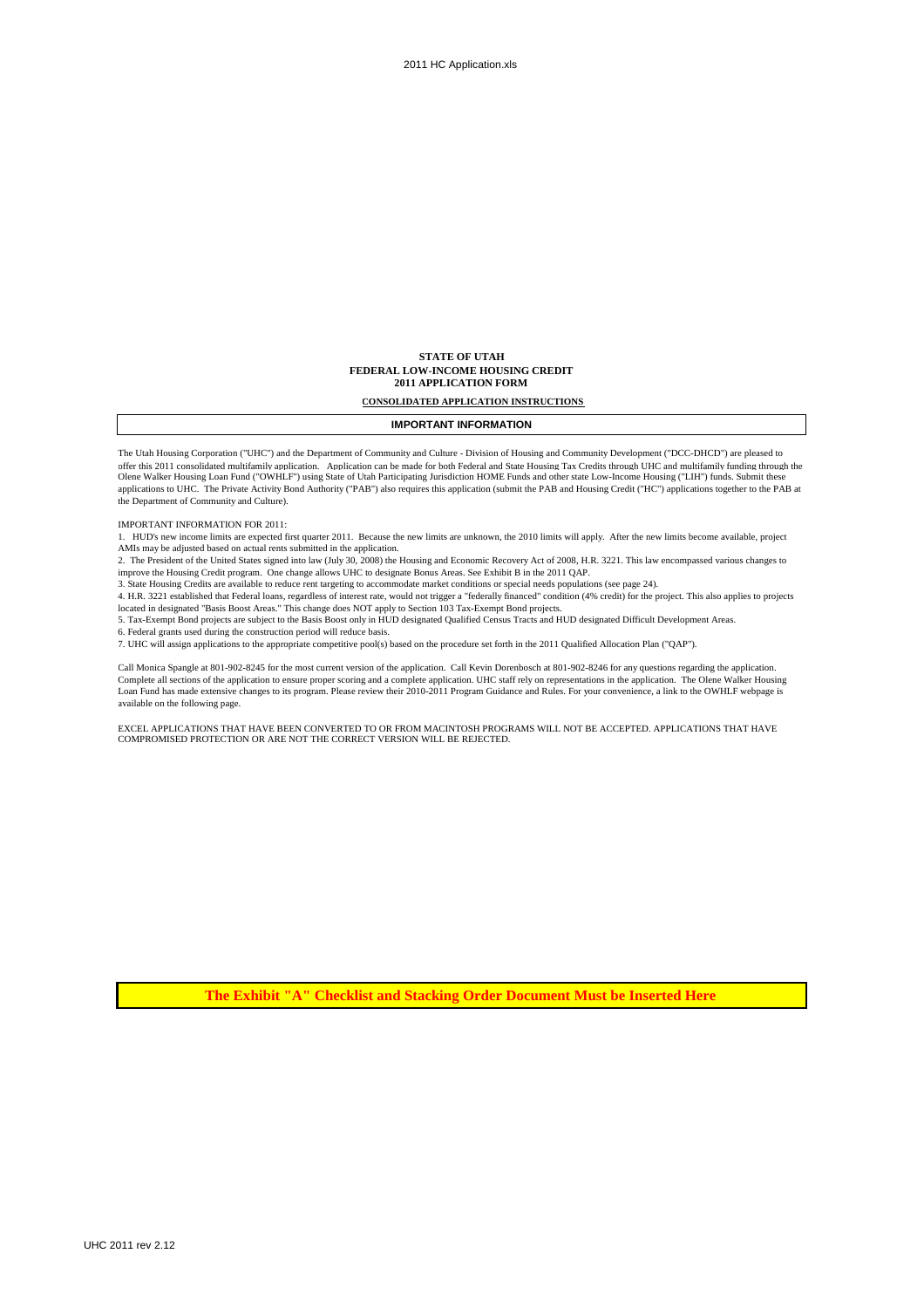#### **STATE OF UTAH FEDERAL LOW-INCOME HOUSING CREDIT 2011 APPLICATION FORM**

#### **CONSOLIDATED APPLICATION INSTRUCTIONS**

### **IMPORTANT INFORMATION**

The Utah Housing Corporation ("UHC") and the Department of Community and Culture - Division of Housing and Community Development ("DCC-DHCD") are pleased to offer this 2011 consolidated multifamily application. Application can be made for both Federal and State Housing Tax Credits through UHC and multifamily funding through the<br>Olene Walker Housing Loan Fund ("OWHLF") using St applications to UHC. The Private Activity Bond Authority ("PAB") also requires this application (submit the PAB and Housing Credit ("HC") applications together to the PAB at the Department of Community and Culture).

IMPORTANT INFORMATION FOR 2011:

1. HUD's new income limits are expected first quarter 2011. Because the new limits are unknown, the 2010 limits will apply. After the new limits become available, project AMIs may be adjusted based on actual rents submitted in the application.

2. The President of the United States signed into law (July 30, 2008) the Housing and Economic Recovery Act of 2008, H.R. 3221. This law encompassed various changes to improve the Housing Credit program. One change allows UHC to designate Bonus Areas. See Exhibit B in the 2011 QAP.<br>3. State Housing Credits are available to reduce rent targeting to accommodate market conditions or special

4. H.R. 3221 established that Federal loans, regardless of interest rate, would not trigger a "federally financed" condition (4% credit) for the project. This also applies to projects

located in designated "Basis Boost Areas." This change does NOT apply to Section 103 Tax-Exempt Bond projects.<br>5. Tax-Exempt Bond projects are subject to the Basis Boost only in HUD designated Qualified Census Tracts and H 6. Federal grants used during the construction period will reduce basis.

7. UHC will assign applications to the appropriate competitive pool(s) based on the procedure set forth in the 2011 Qualified Allocation Plan ("QAP").

Call Monica Spangle at 801-902-8245 for the most current version of the application. Call Kevin Dorenbosch at 801-902-8246 for any questions regarding the application. Complete all sections of the application to ensure proper scoring and a complete application. UHC staff rely on representations in the application. The Olene Walker Housing<br>Loan Fund has made extensive changes to its progr available on the following page.

EXCEL APPLICATIONS THAT HAVE BEEN CONVERTED TO OR FROM MACINTOSH PROGRAMS WILL NOT BE ACCEPTED. APPLICATIONS THAT HAVE COMPROMISED PROTECTION OR ARE NOT THE CORRECT VERSION WILL BE REJECTED.

**The Exhibit "A" Checklist and Stacking Order Document Must be Inserted Here**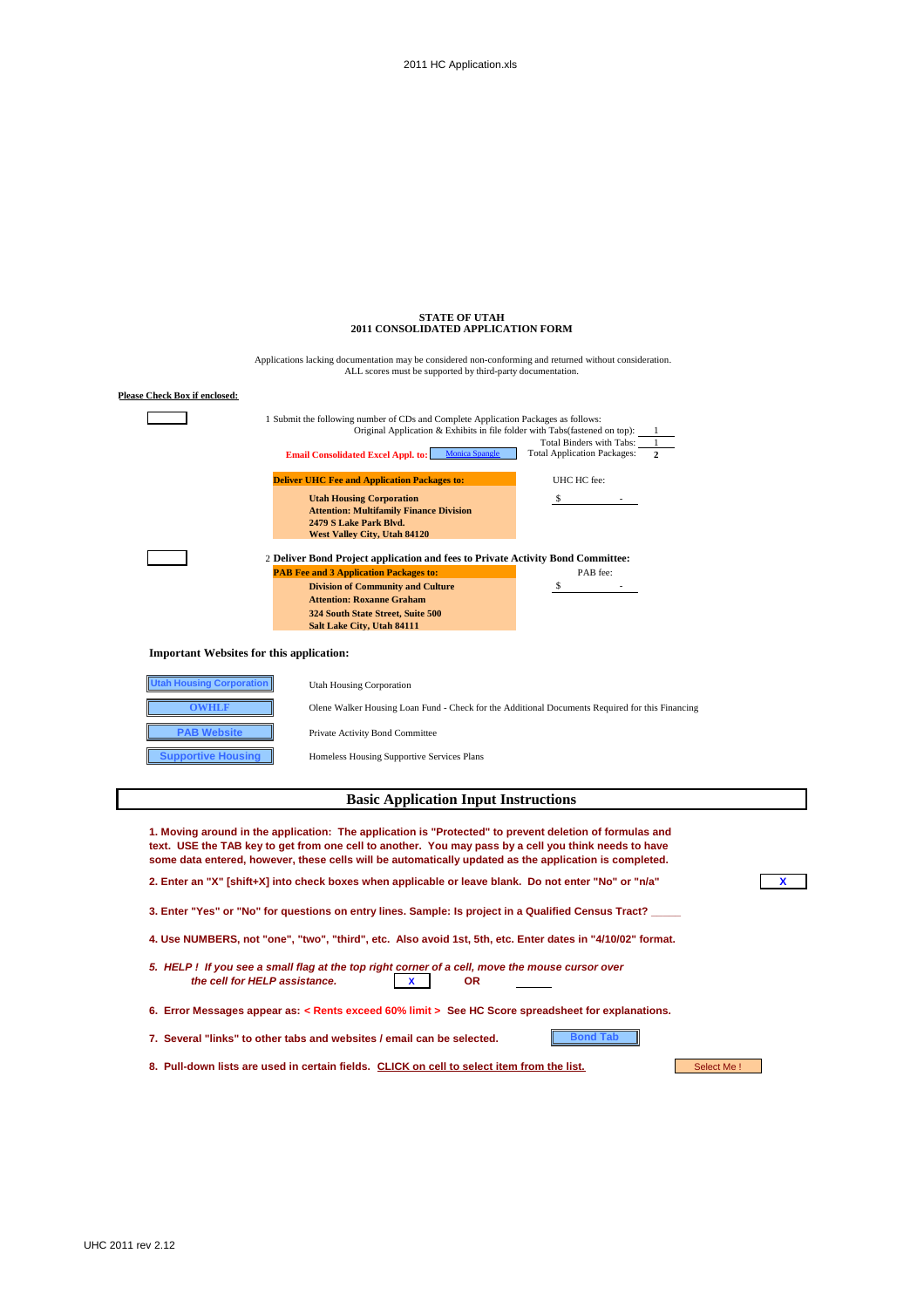| <b>STATE OF UTAH</b>                      |  |
|-------------------------------------------|--|
| <b>2011 CONSOLIDATED APPLICATION FORM</b> |  |
|                                           |  |

| <b>Please Check Box if enclosed:</b>            |                                                                                                                                                                    |                                                                                                 |  |  |  |
|-------------------------------------------------|--------------------------------------------------------------------------------------------------------------------------------------------------------------------|-------------------------------------------------------------------------------------------------|--|--|--|
|                                                 | 1 Submit the following number of CDs and Complete Application Packages as follows:<br>Original Application & Exhibits in file folder with Tabs(fastened on top): 1 |                                                                                                 |  |  |  |
|                                                 | <b>Monica Spangle</b><br><b>Email Consolidated Excel Appl. to:</b>                                                                                                 | Total Binders with Tabs:<br><b>Total Application Packages:</b>                                  |  |  |  |
|                                                 | <b>Deliver UHC Fee and Application Packages to:</b>                                                                                                                | UHC HC fee:                                                                                     |  |  |  |
|                                                 | <b>Utah Housing Corporation</b><br><b>Attention: Multifamily Finance Division</b><br>2479 S Lake Park Blvd.                                                        | \$                                                                                              |  |  |  |
|                                                 | West Valley City, Utah 84120<br>2 Deliver Bond Project application and fees to Private Activity Bond Committee:<br><b>PAB Fee and 3 Application Packages to:</b>   | PAB fee:                                                                                        |  |  |  |
|                                                 | <b>Division of Community and Culture</b><br><b>Attention: Roxanne Graham</b>                                                                                       | \$                                                                                              |  |  |  |
|                                                 | 324 South State Street, Suite 500<br>Salt Lake City, Utah 84111                                                                                                    |                                                                                                 |  |  |  |
| <b>Important Websites for this application:</b> |                                                                                                                                                                    |                                                                                                 |  |  |  |
| <b>Utah Housing Corporation</b>                 | <b>Utah Housing Corporation</b>                                                                                                                                    |                                                                                                 |  |  |  |
| <b>OWHLF</b>                                    |                                                                                                                                                                    | Olene Walker Housing Loan Fund - Check for the Additional Documents Required for this Financing |  |  |  |
| <b>PAB Website</b>                              | Private Activity Bond Committee                                                                                                                                    |                                                                                                 |  |  |  |

Applications lacking documentation may be considered non-conforming and returned without consideration. ALL scores must be supported by third-party documentation.

| <b>Basic Application Input Instructions</b> |
|---------------------------------------------|
|                                             |

Homeless Housing Supportive Services Plans

| 1. Moving around in the application: The application is "Protected" to prevent deletion of formulas and<br>text. USE the TAB key to get from one cell to another. You may pass by a cell you think needs to have<br>some data entered, however, these cells will be automatically updated as the application is completed. |  |
|----------------------------------------------------------------------------------------------------------------------------------------------------------------------------------------------------------------------------------------------------------------------------------------------------------------------------|--|
| 2. Enter an "X" [shift+X] into check boxes when applicable or leave blank. Do not enter "No" or "n/a"                                                                                                                                                                                                                      |  |
| 3. Enter "Yes" or "No" for questions on entry lines. Sample: Is project in a Qualified Census Tract?                                                                                                                                                                                                                       |  |
| 4. Use NUMBERS, not "one", "two", "third", etc. Also avoid 1st, 5th, etc. Enter dates in "4/10/02" format.                                                                                                                                                                                                                 |  |
| 5. HELP! If you see a small flag at the top right corner of a cell, move the mouse cursor over<br>the cell for HELP assistance.<br><b>OR</b><br>x                                                                                                                                                                          |  |
| 6. Error Messages appear as: < Rents exceed 60% limit > See HC Score spreadsheet for explanations.                                                                                                                                                                                                                         |  |
| 7. Several "links" to other tabs and websites / email can be selected.<br><b>Bond Tab</b>                                                                                                                                                                                                                                  |  |
| 8. Pull-down lists are used in certain fields. CLICK on cell to select item from the list.<br>Select Me!                                                                                                                                                                                                                   |  |

**PAB Website Supportive Housing**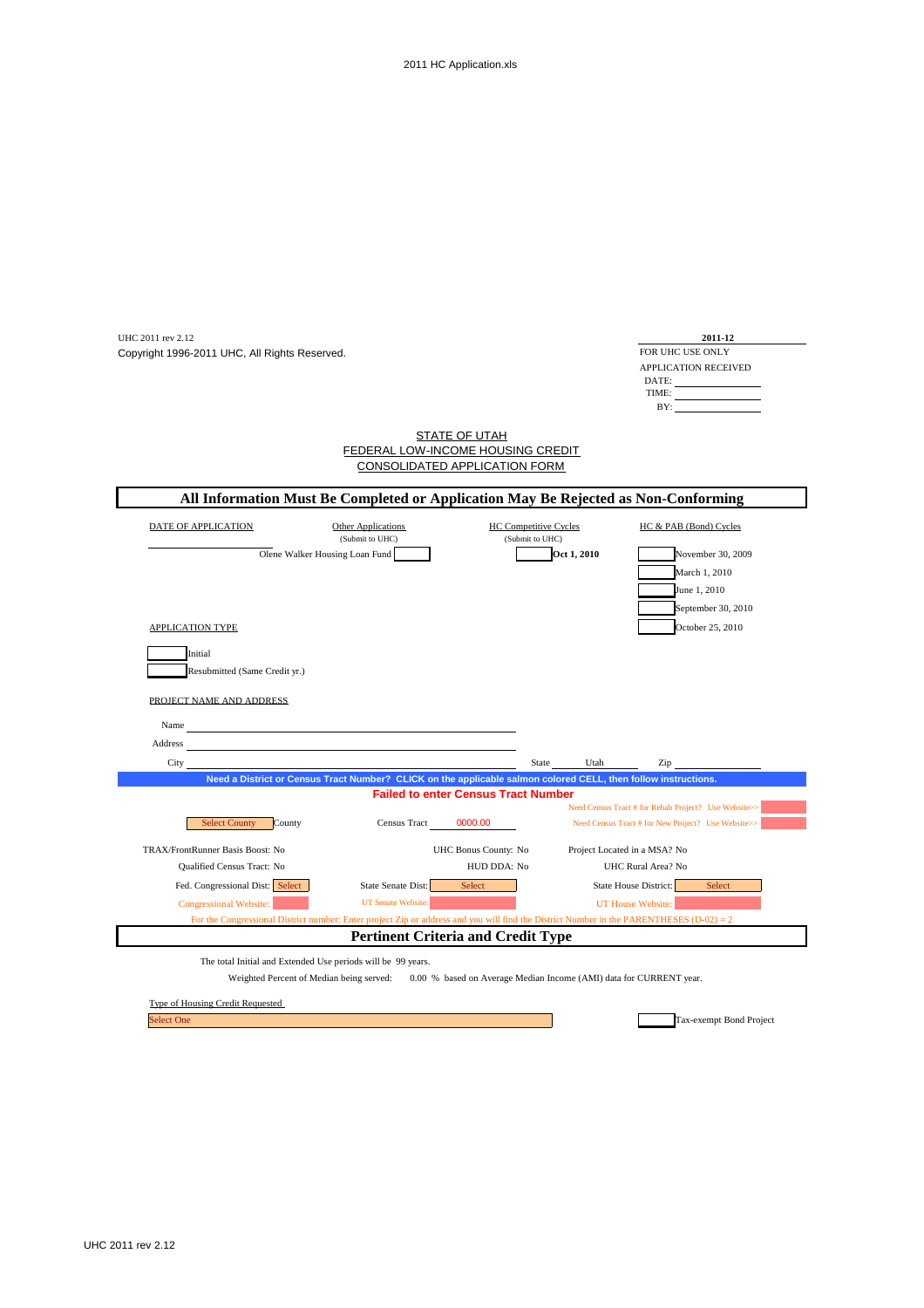| UHC 2011 rev 2.12<br>Copyright 1996-2011 UHC, All Rights Reserved.                                                                                                                                                                     |                                                                                                                                           |                                                 |             | 2011-12<br>FOR UHC USE ONLY<br>APPLICATION RECEIVED<br>DATE:<br>TIME:<br>BY: |  |
|----------------------------------------------------------------------------------------------------------------------------------------------------------------------------------------------------------------------------------------|-------------------------------------------------------------------------------------------------------------------------------------------|-------------------------------------------------|-------------|------------------------------------------------------------------------------|--|
|                                                                                                                                                                                                                                        | FEDERAL LOW-INCOME HOUSING CREDIT<br><b>CONSOLIDATED APPLICATION FORM</b>                                                                 | <b>STATE OF UTAH</b>                            |             |                                                                              |  |
| All Information Must Be Completed or Application May Be Rejected as Non-Conforming                                                                                                                                                     |                                                                                                                                           |                                                 |             |                                                                              |  |
| DATE OF APPLICATION                                                                                                                                                                                                                    | Other Applications<br>(Submit to UHC)<br>Olene Walker Housing Loan Fund                                                                   | <b>HC Competitive Cycles</b><br>(Submit to UHC) | Oct 1, 2010 | HC & PAB (Bond) Cycles<br>November 30, 2009<br>March 1, 2010<br>June 1, 2010 |  |
|                                                                                                                                                                                                                                        |                                                                                                                                           |                                                 |             | September 30, 2010                                                           |  |
| <b>APPLICATION TYPE</b>                                                                                                                                                                                                                |                                                                                                                                           |                                                 |             | October 25, 2010                                                             |  |
| Initial                                                                                                                                                                                                                                |                                                                                                                                           |                                                 |             |                                                                              |  |
| Resubmitted (Same Credit yr.)                                                                                                                                                                                                          |                                                                                                                                           |                                                 |             |                                                                              |  |
| PROJECT NAME AND ADDRESS                                                                                                                                                                                                               |                                                                                                                                           |                                                 |             |                                                                              |  |
| Name                                                                                                                                                                                                                                   |                                                                                                                                           |                                                 |             |                                                                              |  |
|                                                                                                                                                                                                                                        | <u> 1980 - Johann Barn, mars eta bainar eta baina eta baina eta baina eta baina eta baina eta baina eta baina e</u>                       |                                                 |             |                                                                              |  |
| Address and the contract of the contract of the contract of the contract of the contract of the contract of the contract of the contract of the contract of the contract of the contract of the contract of the contract of th<br>City |                                                                                                                                           | State                                           | Utah        | Zip                                                                          |  |
|                                                                                                                                                                                                                                        | Need a District or Census Tract Number? CLICK on the applicable salmon colored CELL, then follow instructions.                            |                                                 |             |                                                                              |  |
|                                                                                                                                                                                                                                        |                                                                                                                                           | <b>Failed to enter Census Tract Number</b>      |             |                                                                              |  |
|                                                                                                                                                                                                                                        |                                                                                                                                           |                                                 |             | Need Census Tract # for Rehab Project? Use Website>>                         |  |
| <b>Select County</b><br>County                                                                                                                                                                                                         | <b>Census Tract</b>                                                                                                                       | 0000.00                                         |             | Need Census Tract # for New Project? Use Website>>                           |  |
| TRAX/FrontRunner Basis Boost: No                                                                                                                                                                                                       |                                                                                                                                           | UHC Bonus County: No                            |             | Project Located in a MSA? No                                                 |  |
| Qualified Census Tract: No                                                                                                                                                                                                             |                                                                                                                                           | HUD DDA: No                                     |             | UHC Rural Area? No                                                           |  |
| Fed. Congressional Dist: Select                                                                                                                                                                                                        | State Senate Dist:                                                                                                                        | Select                                          |             | State House District:<br>Select                                              |  |
| <b>Congressional Website:</b>                                                                                                                                                                                                          | <b>UT Senate Website:</b>                                                                                                                 |                                                 |             | UT House Website:                                                            |  |
|                                                                                                                                                                                                                                        | For the Congressional District number: Enter project Zip or address and you will find the District Number in the PARENTHESES (D-02) = $2$ |                                                 |             |                                                                              |  |
|                                                                                                                                                                                                                                        | <b>Pertinent Criteria and Credit Type</b>                                                                                                 |                                                 |             |                                                                              |  |
| The total Initial and Extended Use periods will be 99 years.                                                                                                                                                                           |                                                                                                                                           |                                                 |             |                                                                              |  |
|                                                                                                                                                                                                                                        | Weighted Percent of Median being served: 0.00 % based on Average Median Income (AMI) data for CURRENT year.                               |                                                 |             |                                                                              |  |
| Type of Housing Credit Requested                                                                                                                                                                                                       |                                                                                                                                           |                                                 |             |                                                                              |  |
|                                                                                                                                                                                                                                        |                                                                                                                                           |                                                 |             |                                                                              |  |

i.

Select One

Tax-exempt Bond Project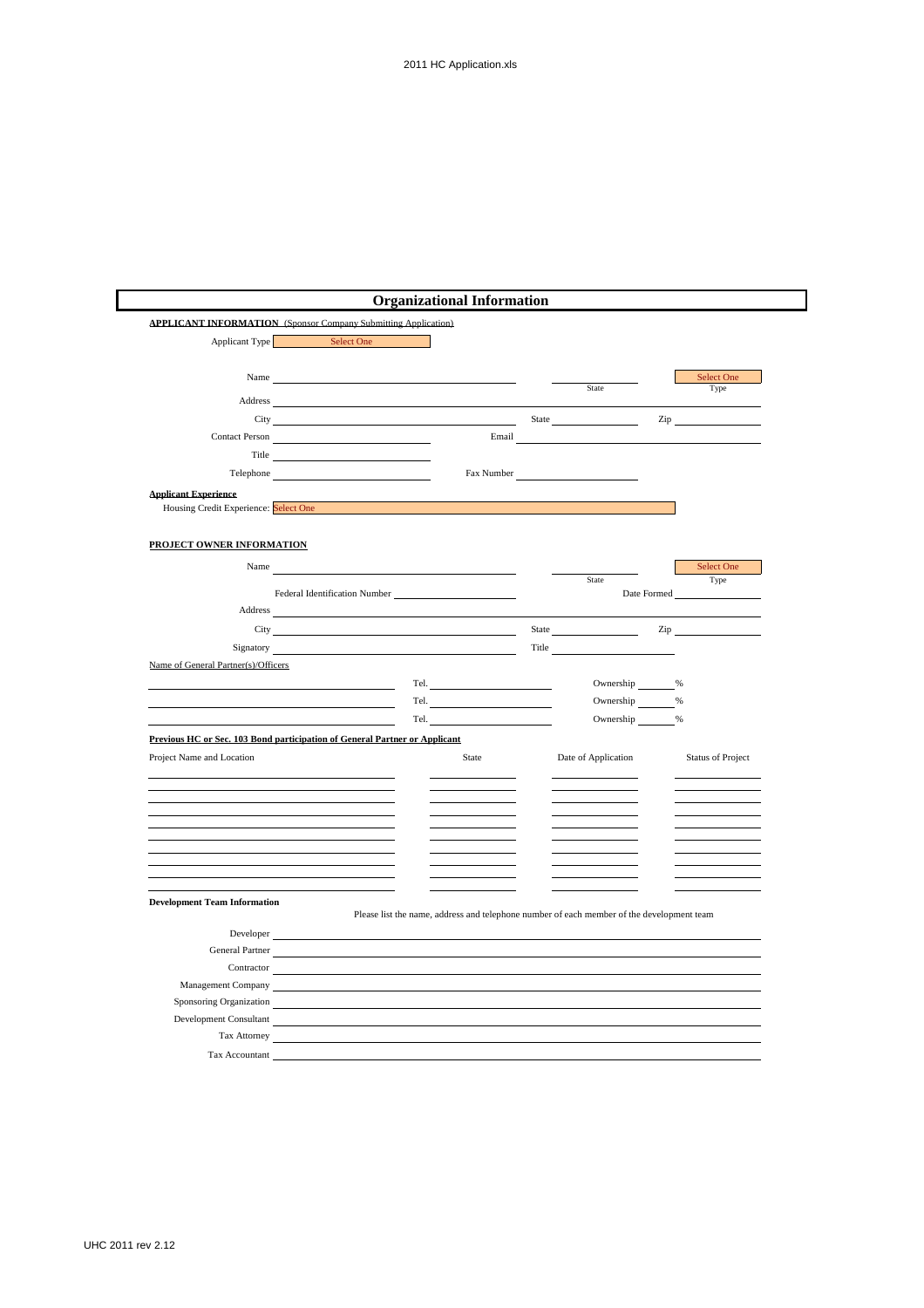| <b>APPLICANT INFORMATION</b> (Sponsor Company Submitting Application)      |                                                                                                                                                                                                                                |                                                                                                                                                                                                                                                                                                                                                                                             |       |                     |             |                          |
|----------------------------------------------------------------------------|--------------------------------------------------------------------------------------------------------------------------------------------------------------------------------------------------------------------------------|---------------------------------------------------------------------------------------------------------------------------------------------------------------------------------------------------------------------------------------------------------------------------------------------------------------------------------------------------------------------------------------------|-------|---------------------|-------------|--------------------------|
|                                                                            | Applicant Type Select One                                                                                                                                                                                                      |                                                                                                                                                                                                                                                                                                                                                                                             |       |                     |             |                          |
|                                                                            |                                                                                                                                                                                                                                |                                                                                                                                                                                                                                                                                                                                                                                             |       |                     |             |                          |
| Name                                                                       |                                                                                                                                                                                                                                |                                                                                                                                                                                                                                                                                                                                                                                             |       |                     |             | Select One               |
|                                                                            | Address and the state of the state of the state of the state of the state of the state of the state of the state of the state of the state of the state of the state of the state of the state of the state of the state of th |                                                                                                                                                                                                                                                                                                                                                                                             |       | State               |             | Type                     |
|                                                                            |                                                                                                                                                                                                                                |                                                                                                                                                                                                                                                                                                                                                                                             |       |                     |             |                          |
|                                                                            | City<br>Contact Person                                                                                                                                                                                                         | Email                                                                                                                                                                                                                                                                                                                                                                                       |       | State               |             | $\mathsf{Zip}$           |
|                                                                            | Title <b>The Community of the Community</b> Section 2014                                                                                                                                                                       |                                                                                                                                                                                                                                                                                                                                                                                             |       |                     |             |                          |
|                                                                            |                                                                                                                                                                                                                                | Fax Number                                                                                                                                                                                                                                                                                                                                                                                  |       |                     |             |                          |
|                                                                            |                                                                                                                                                                                                                                |                                                                                                                                                                                                                                                                                                                                                                                             |       |                     |             |                          |
| <b>Applicant Experience</b><br>Housing Credit Experience: Select One       |                                                                                                                                                                                                                                |                                                                                                                                                                                                                                                                                                                                                                                             |       |                     |             |                          |
|                                                                            |                                                                                                                                                                                                                                |                                                                                                                                                                                                                                                                                                                                                                                             |       |                     |             |                          |
| PROJECT OWNER INFORMATION                                                  |                                                                                                                                                                                                                                |                                                                                                                                                                                                                                                                                                                                                                                             |       |                     |             |                          |
|                                                                            |                                                                                                                                                                                                                                |                                                                                                                                                                                                                                                                                                                                                                                             |       |                     |             |                          |
| Name                                                                       |                                                                                                                                                                                                                                |                                                                                                                                                                                                                                                                                                                                                                                             |       | State               |             | Select One<br>Type       |
|                                                                            | Federal Identification Number                                                                                                                                                                                                  |                                                                                                                                                                                                                                                                                                                                                                                             |       |                     | Date Formed |                          |
| Address                                                                    |                                                                                                                                                                                                                                |                                                                                                                                                                                                                                                                                                                                                                                             |       |                     |             |                          |
|                                                                            |                                                                                                                                                                                                                                |                                                                                                                                                                                                                                                                                                                                                                                             |       | State               |             | $\mathsf{Zip}$           |
| Signatory                                                                  |                                                                                                                                                                                                                                |                                                                                                                                                                                                                                                                                                                                                                                             | Title |                     |             |                          |
| Name of General Partner(s)/Officers                                        |                                                                                                                                                                                                                                |                                                                                                                                                                                                                                                                                                                                                                                             |       |                     |             |                          |
|                                                                            |                                                                                                                                                                                                                                | Tel. The contract of the contract of the contract of the contract of the contract of the contract of the contract of the contract of the contract of the contract of the contract of the contract of the contract of the contr                                                                                                                                                              |       | Ownership ________% |             |                          |
|                                                                            |                                                                                                                                                                                                                                | $\begin{picture}(150,10) \put(0,0){\dashbox{0.5}(10,0){ }} \put(15,0){\circle{10}} \put(15,0){\circle{10}} \put(15,0){\circle{10}} \put(15,0){\circle{10}} \put(15,0){\circle{10}} \put(15,0){\circle{10}} \put(15,0){\circle{10}} \put(15,0){\circle{10}} \put(15,0){\circle{10}} \put(15,0){\circle{10}} \put(15,0){\circle{10}} \put(15,0){\circle{10}} \put(15,0){\circle{10}} \put(15$ |       | Ownership _______%  |             |                          |
|                                                                            |                                                                                                                                                                                                                                | Tel.                                                                                                                                                                                                                                                                                                                                                                                        |       | Ownership           |             | $\frac{9}{6}$            |
| Previous HC or Sec. 103 Bond participation of General Partner or Applicant |                                                                                                                                                                                                                                |                                                                                                                                                                                                                                                                                                                                                                                             |       |                     |             |                          |
| Project Name and Location                                                  |                                                                                                                                                                                                                                | State                                                                                                                                                                                                                                                                                                                                                                                       |       | Date of Application |             | <b>Status of Project</b> |
|                                                                            |                                                                                                                                                                                                                                |                                                                                                                                                                                                                                                                                                                                                                                             |       |                     |             |                          |
|                                                                            |                                                                                                                                                                                                                                |                                                                                                                                                                                                                                                                                                                                                                                             |       |                     |             |                          |
|                                                                            |                                                                                                                                                                                                                                |                                                                                                                                                                                                                                                                                                                                                                                             |       |                     |             |                          |
|                                                                            |                                                                                                                                                                                                                                |                                                                                                                                                                                                                                                                                                                                                                                             |       |                     |             |                          |
|                                                                            |                                                                                                                                                                                                                                |                                                                                                                                                                                                                                                                                                                                                                                             |       |                     |             |                          |
|                                                                            |                                                                                                                                                                                                                                |                                                                                                                                                                                                                                                                                                                                                                                             |       |                     |             |                          |
|                                                                            |                                                                                                                                                                                                                                |                                                                                                                                                                                                                                                                                                                                                                                             |       |                     |             |                          |
| <b>Development Team Information</b>                                        |                                                                                                                                                                                                                                |                                                                                                                                                                                                                                                                                                                                                                                             |       |                     |             |                          |
|                                                                            |                                                                                                                                                                                                                                | Please list the name, address and telephone number of each member of the development team                                                                                                                                                                                                                                                                                                   |       |                     |             |                          |
| Developer                                                                  |                                                                                                                                                                                                                                |                                                                                                                                                                                                                                                                                                                                                                                             |       |                     |             |                          |
| General Partner                                                            |                                                                                                                                                                                                                                |                                                                                                                                                                                                                                                                                                                                                                                             |       |                     |             |                          |
| Contractor                                                                 |                                                                                                                                                                                                                                |                                                                                                                                                                                                                                                                                                                                                                                             |       |                     |             |                          |
| Management Company                                                         |                                                                                                                                                                                                                                |                                                                                                                                                                                                                                                                                                                                                                                             |       |                     |             |                          |
| Sponsoring Organization<br>Development Consultant                          |                                                                                                                                                                                                                                |                                                                                                                                                                                                                                                                                                                                                                                             |       |                     |             |                          |
|                                                                            |                                                                                                                                                                                                                                |                                                                                                                                                                                                                                                                                                                                                                                             |       |                     |             |                          |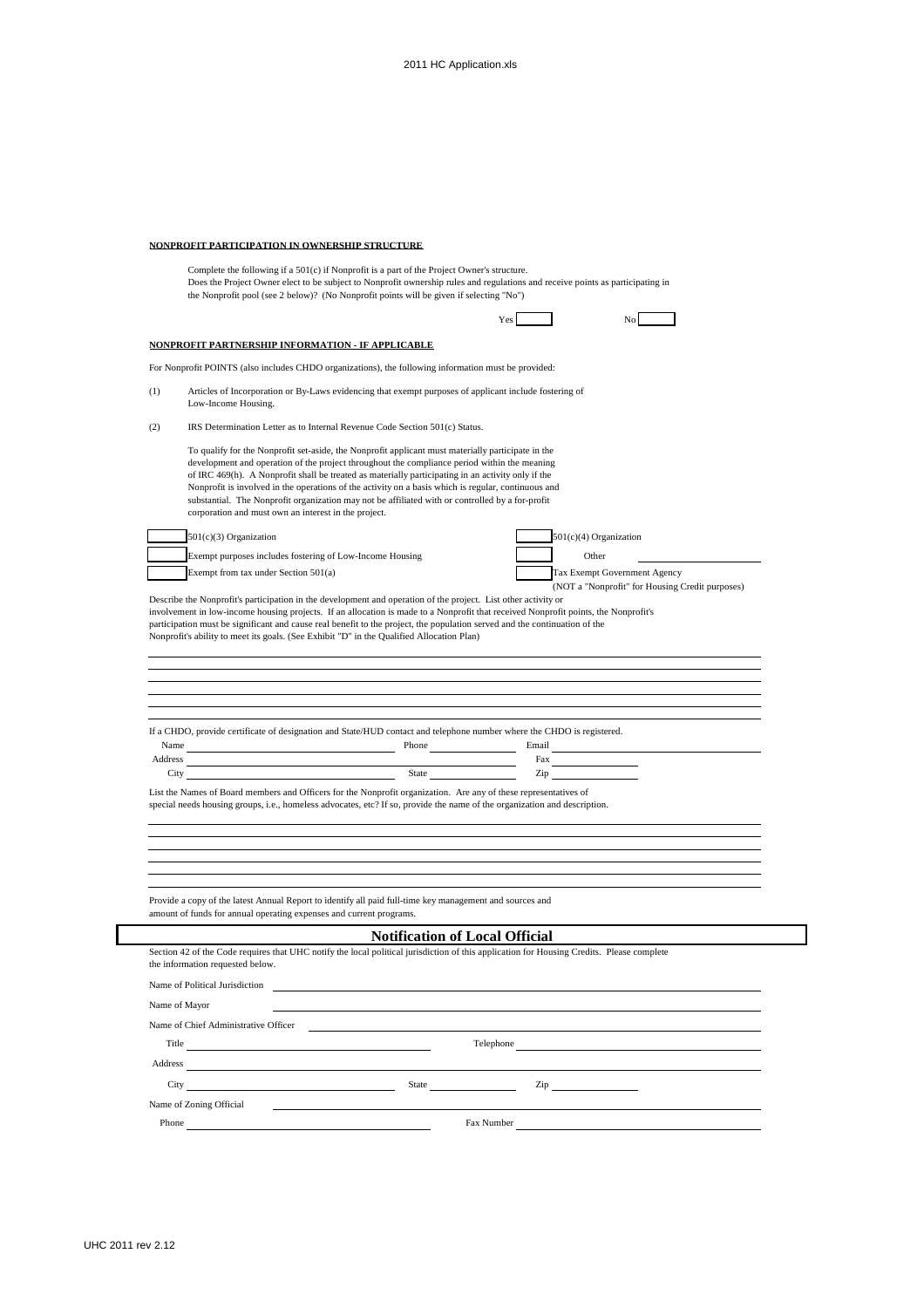#### **NONPROFIT PARTICIPATION IN OWNERSHIP STRUCTURE**

Complete the following if a 501(c) if Nonprofit is a part of the Project Owner's structure. Does the Project Owner elect to be subject to Nonprofit ownership rules and regulations and receive points as participating in the Nonprofit pool (see 2 below)? (No Nonprofit points will be given if selecting "No")

#### **NONPROFIT PARTNERSHIP INFORMATION - IF APPLICABLE**

For Nonprofit POINTS (also includes CHDO organizations), the following information must be provided:

- (1) Articles of Incorporation or By-Laws evidencing that exempt purposes of applicant include fostering of Low-Income Housing.
- (2) IRS Determination Letter as to Internal Revenue Code Section 501(c) Status.

To qualify for the Nonprofit set-aside, the Nonprofit applicant must materially participate in the development and operation of the project throughout the compliance period within the meaning of IRC 469(h). A Nonprofit shall be treated as materially participating in an activity only if the Nonprofit is involved in the operations of the activity on a basis which is regular, continuous and substantial. The Nonprofit organization may not be affiliated with or controlled by a for-profit corporation and must own an interest in the project.

| $501(c)(3)$ Organization                                 | $501(c)(4)$ Organization            |
|----------------------------------------------------------|-------------------------------------|
| Exempt purposes includes fostering of Low-Income Housing | Other                               |
| Exempt from tax under Section 501(a)                     | <b>Tax Exempt Government Agency</b> |

|  |       | 501(c)(4) Organization |                            |  |
|--|-------|------------------------|----------------------------|--|
|  | Other |                        |                            |  |
|  |       |                        | Tax Exempt Government Agen |  |
|  |       |                        |                            |  |

Yes No

(NOT a "Nonprofit" for Housing Credit purposes)

Describe the Nonprofit's participation in the development and operation of the project. List other activity or involvement in low-income housing projects. If an allocation is made to a Nonprofit that received Nonprofit points, the Nonprofit's participation must be significant and cause real benefit to the project, the population served and the continuation of the Nonprofit's ability to meet its goals. (See Exhibit "D" in the Qualified Allocation Plan)

|         | If a CHDO, provide certificate of designation and State/HUD contact and telephone number where the CHDO is registered. |       |  |
|---------|------------------------------------------------------------------------------------------------------------------------|-------|--|
| Name    | Phone                                                                                                                  | Email |  |
| Address |                                                                                                                        | Fax   |  |

City State Zip List the Names of Board members and Officers for the Nonprofit organization. Are any of these representatives of

special needs housing groups, i.e., homeless advocates, etc? If so, provide the name of the organization and description.

Provide a copy of the latest Annual Report to identify all paid full-time key management and sources and amount of funds for annual operating expenses and current programs.

# **Notification of Local Official**

| the information requested below.                                                                                             | Section 42 of the Code requires that UHC notify the local political jurisdiction of this application for Housing Credits. Please complete |
|------------------------------------------------------------------------------------------------------------------------------|-------------------------------------------------------------------------------------------------------------------------------------------|
| Name of Political Jurisdiction                                                                                               |                                                                                                                                           |
| Name of Mayor                                                                                                                |                                                                                                                                           |
| Name of Chief Administrative Officer                                                                                         |                                                                                                                                           |
| Title<br>the contract of the contract of the contract of the contract of the contract of                                     | Telephone<br>the contract of the contract of the contract of the contract of the contract of the contract of                              |
| Address                                                                                                                      |                                                                                                                                           |
| City<br><u> 1980 - Jan Stein Stein Stein Stein Stein Stein Stein Stein Stein Stein Stein Stein Stein Stein Stein Stein S</u> | $\mathsf{Zip} \xrightarrow{\qquad \qquad }$                                                                                               |
| Name of Zoning Official                                                                                                      |                                                                                                                                           |
| Phone                                                                                                                        | Fax Number                                                                                                                                |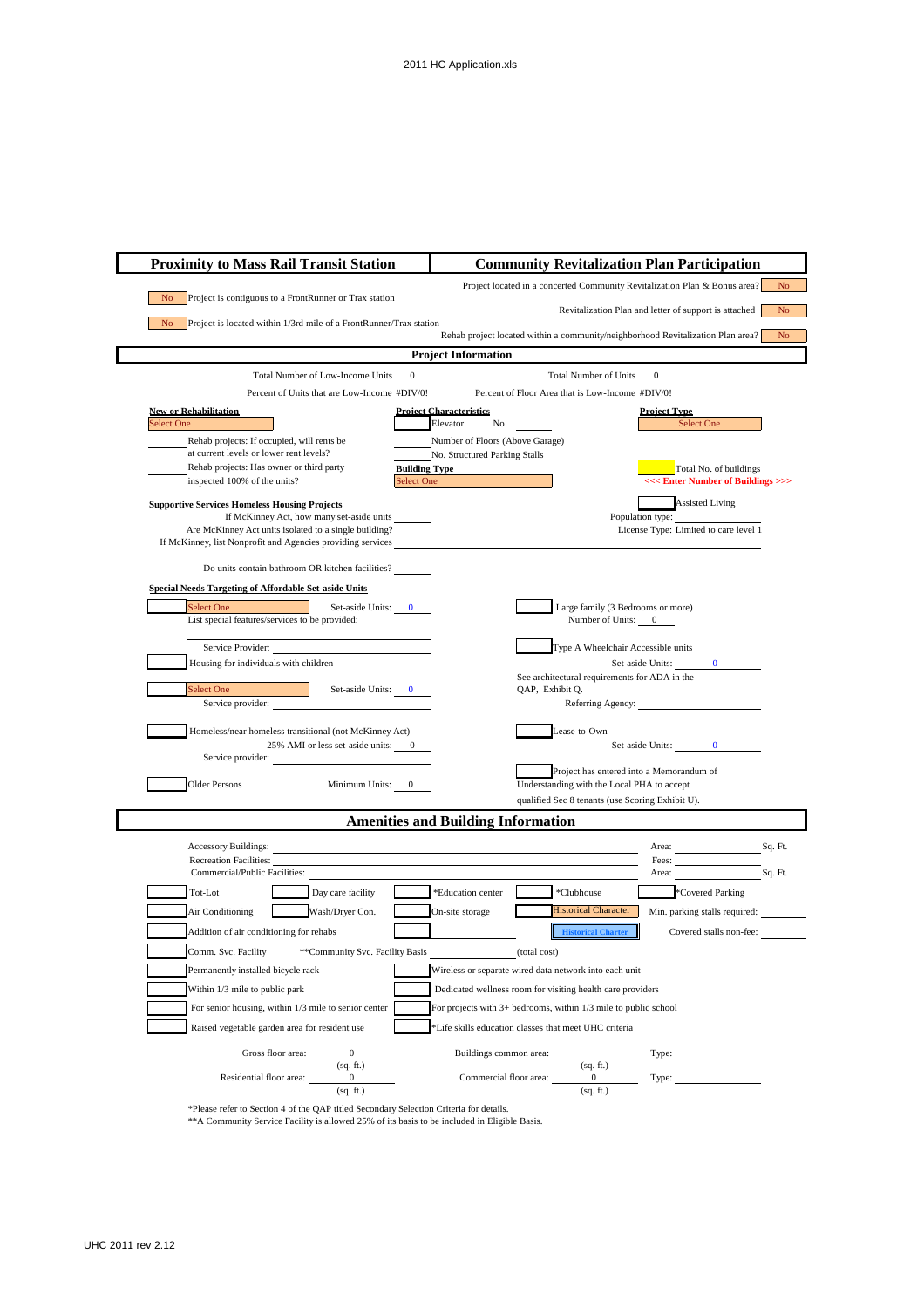

\*\*A Community Service Facility is allowed 25% of its basis to be included in Eligible Basis.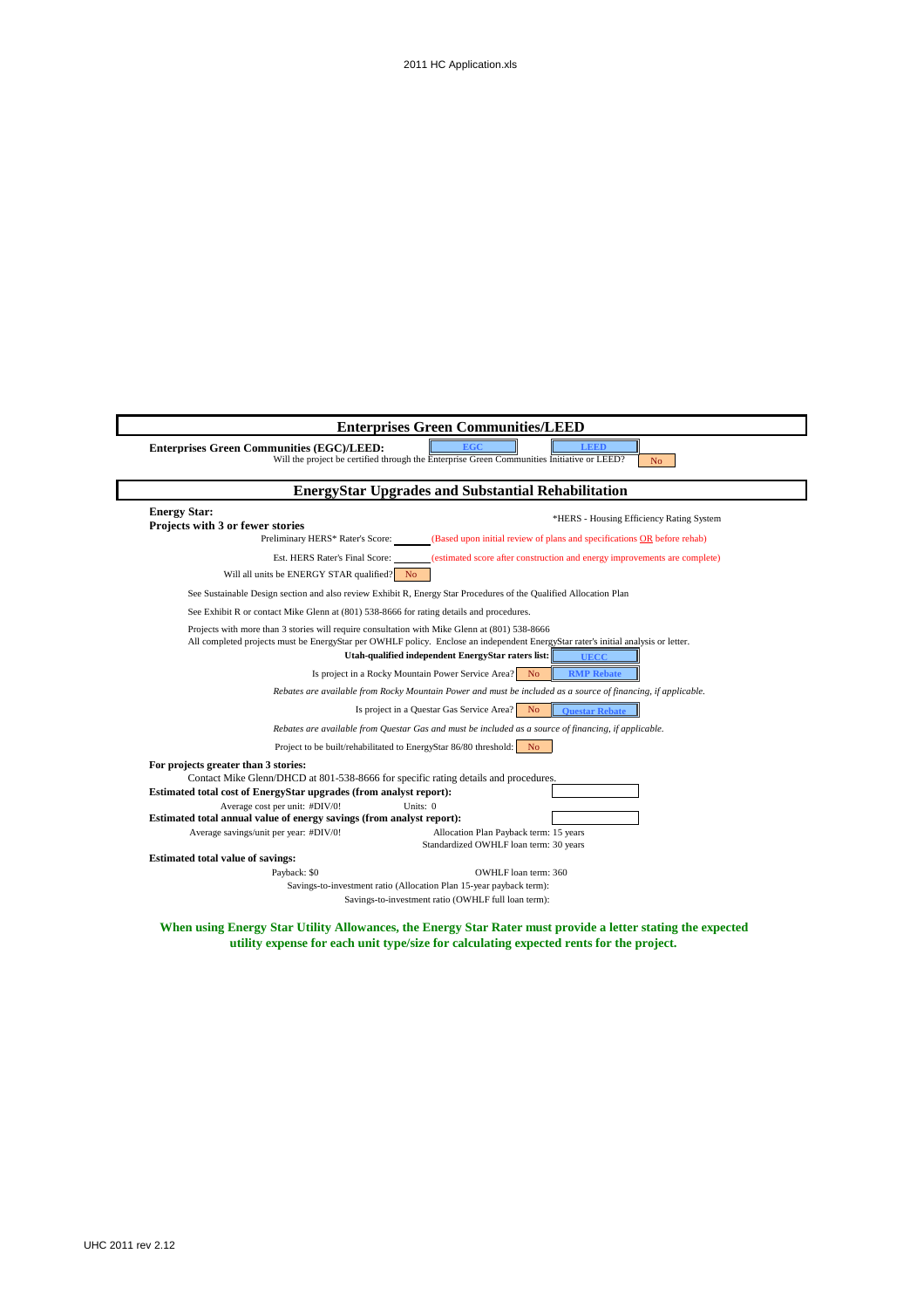

### **When using Energy Star Utility Allowances, the Energy Star Rater must provide a letter stating the expected utility expense for each unit type/size for calculating expected rents for the project.**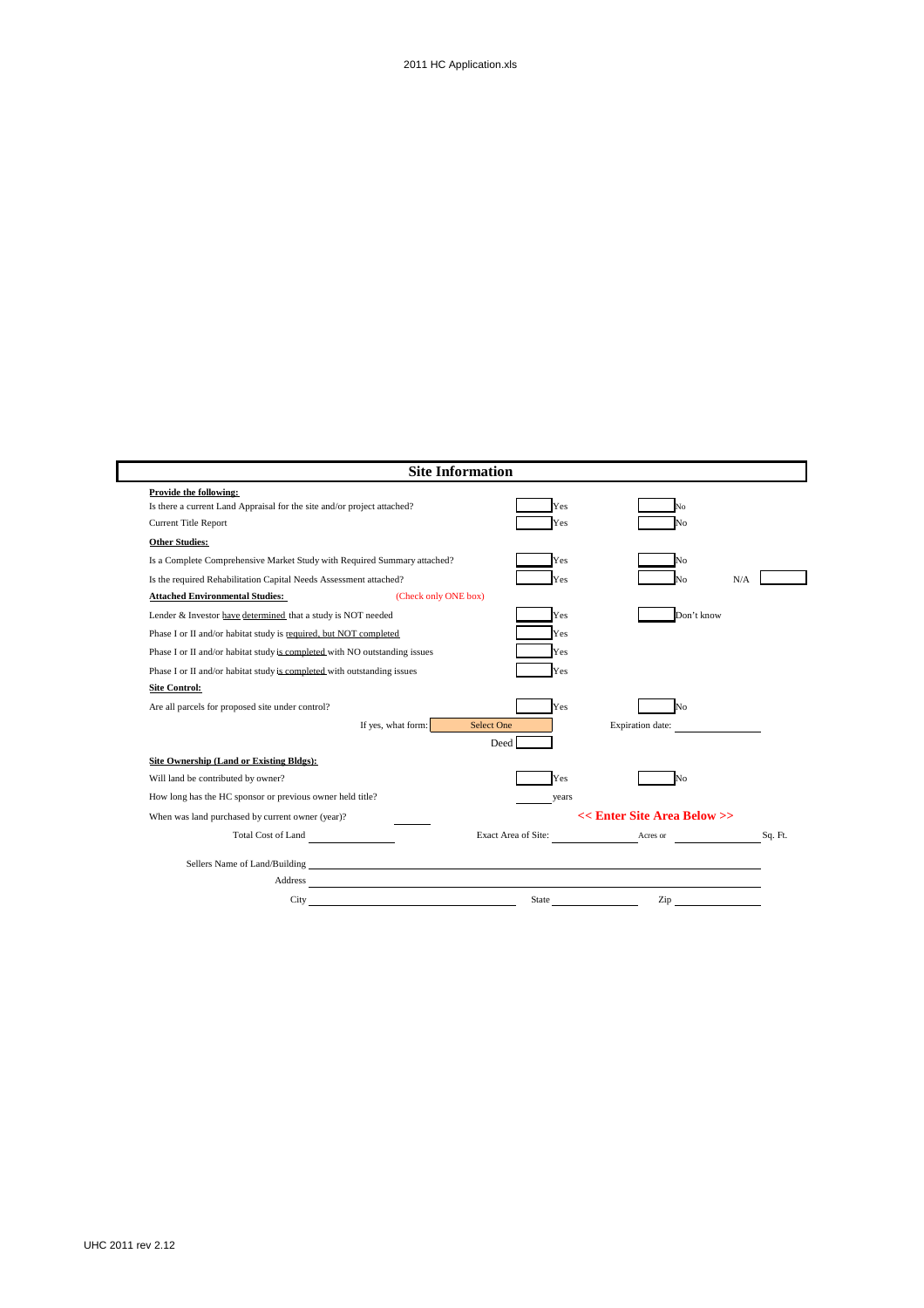|                                                                            |                      | <b>Site Information</b> |                                                                                                                                                                                                                                            |         |
|----------------------------------------------------------------------------|----------------------|-------------------------|--------------------------------------------------------------------------------------------------------------------------------------------------------------------------------------------------------------------------------------------|---------|
| Provide the following:                                                     |                      |                         |                                                                                                                                                                                                                                            |         |
| Is there a current Land Appraisal for the site and/or project attached?    |                      | Yes                     | ۹o                                                                                                                                                                                                                                         |         |
| Current Title Report                                                       |                      | Yes                     | Jο                                                                                                                                                                                                                                         |         |
| <b>Other Studies:</b>                                                      |                      |                         |                                                                                                                                                                                                                                            |         |
| Is a Complete Comprehensive Market Study with Required Summary attached?   |                      | Yes                     |                                                                                                                                                                                                                                            |         |
| Is the required Rehabilitation Capital Needs Assessment attached?          |                      | Yes                     |                                                                                                                                                                                                                                            | N/A     |
| <b>Attached Environmental Studies:</b>                                     | (Check only ONE box) |                         |                                                                                                                                                                                                                                            |         |
| Lender & Investor have determined that a study is NOT needed               |                      | Yes                     | Don't know                                                                                                                                                                                                                                 |         |
| Phase I or II and/or habitat study is required, but NOT completed          |                      | Yes                     |                                                                                                                                                                                                                                            |         |
| Phase I or II and/or habitat study is completed with NO outstanding issues |                      | Yes                     |                                                                                                                                                                                                                                            |         |
| Phase I or II and/or habitat study is completed with outstanding issues    |                      | Yes                     |                                                                                                                                                                                                                                            |         |
| <b>Site Control:</b>                                                       |                      |                         |                                                                                                                                                                                                                                            |         |
| Are all parcels for proposed site under control?                           |                      | Yes                     | No                                                                                                                                                                                                                                         |         |
|                                                                            | If yes, what form:   | Select One              | Expiration date:                                                                                                                                                                                                                           |         |
|                                                                            |                      | Deed                    |                                                                                                                                                                                                                                            |         |
| Site Ownership (Land or Existing Bldgs):                                   |                      |                         |                                                                                                                                                                                                                                            |         |
| Will land be contributed by owner?                                         |                      | Yes                     | N٥                                                                                                                                                                                                                                         |         |
| How long has the HC sponsor or previous owner held title?                  |                      | years                   |                                                                                                                                                                                                                                            |         |
| When was land purchased by current owner (year)?                           |                      |                         | << Enter Site Area Below >>                                                                                                                                                                                                                |         |
| Total Cost of Land                                                         |                      | Exact Area of Site:     | Acres or                                                                                                                                                                                                                                   | Sq. Ft. |
|                                                                            |                      |                         |                                                                                                                                                                                                                                            |         |
|                                                                            |                      |                         |                                                                                                                                                                                                                                            |         |
| Address                                                                    |                      |                         |                                                                                                                                                                                                                                            |         |
| City                                                                       |                      |                         | State <u>the state of</u> the state of the state of the state of the state of the state of the state of the state of the state of the state of the state of the state of the state of the state of the state of the state of the st<br>Zip |         |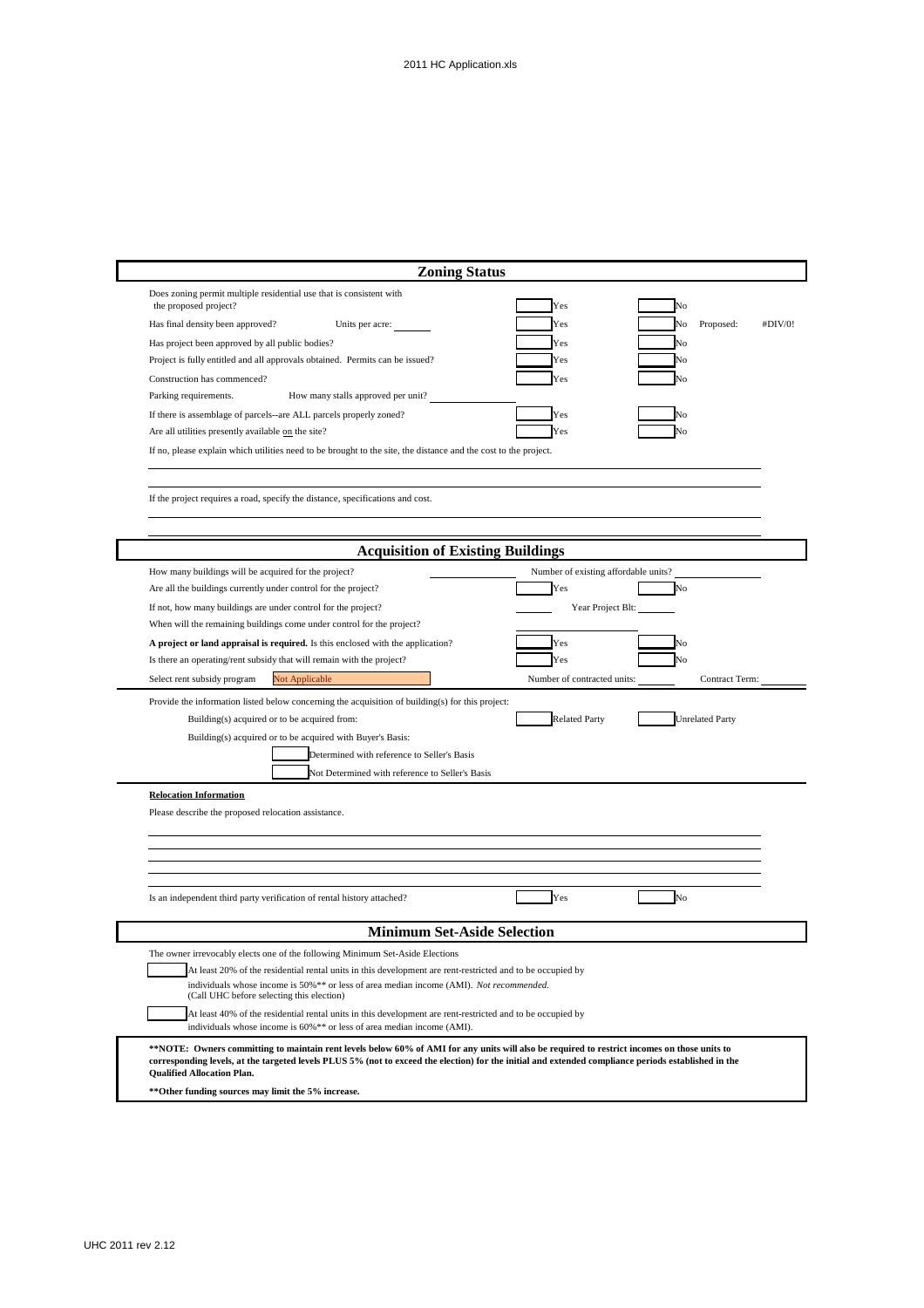| <b>Zoning Status</b>                                                                                                                                                                                                                                                                                                                      |                                                   |
|-------------------------------------------------------------------------------------------------------------------------------------------------------------------------------------------------------------------------------------------------------------------------------------------------------------------------------------------|---------------------------------------------------|
| Does zoning permit multiple residential use that is consistent with<br>the proposed project?                                                                                                                                                                                                                                              | Yes<br>٧o                                         |
| Has final density been approved?<br>Units per acre:                                                                                                                                                                                                                                                                                       | Proposed:<br>No<br>#DIV/0!<br>Yes                 |
| Has project been approved by all public bodies?                                                                                                                                                                                                                                                                                           | Ńо<br>Yes                                         |
| Project is fully entitled and all approvals obtained. Permits can be issued?                                                                                                                                                                                                                                                              | No<br>Yes                                         |
| Construction has commenced?                                                                                                                                                                                                                                                                                                               | Yes<br>N٥                                         |
| Parking requirements.<br>How many stalls approved per unit?                                                                                                                                                                                                                                                                               |                                                   |
| If there is assemblage of parcels--are ALL parcels properly zoned?                                                                                                                                                                                                                                                                        | Yes                                               |
| Are all utilities presently available on the site?                                                                                                                                                                                                                                                                                        | Yes<br>√о                                         |
| If no, please explain which utilities need to be brought to the site, the distance and the cost to the project.                                                                                                                                                                                                                           |                                                   |
| If the project requires a road, specify the distance, specifications and cost.                                                                                                                                                                                                                                                            |                                                   |
| <b>Acquisition of Existing Buildings</b>                                                                                                                                                                                                                                                                                                  |                                                   |
|                                                                                                                                                                                                                                                                                                                                           |                                                   |
| How many buildings will be acquired for the project?<br>Are all the buildings currently under control for the project?                                                                                                                                                                                                                    | Number of existing affordable units?<br>Yes<br>No |
| If not, how many buildings are under control for the project?                                                                                                                                                                                                                                                                             | Year Project Blt:                                 |
| When will the remaining buildings come under control for the project?                                                                                                                                                                                                                                                                     |                                                   |
|                                                                                                                                                                                                                                                                                                                                           | Yes<br>Ñ٥                                         |
| A project or land appraisal is required. Is this enclosed with the application?<br>Is there an operating/rent subsidy that will remain with the project?                                                                                                                                                                                  | Yes<br>N٥                                         |
|                                                                                                                                                                                                                                                                                                                                           | Number of contracted units:<br>Contract Term:     |
| Select rent subsidy program<br>Not Applicable                                                                                                                                                                                                                                                                                             |                                                   |
| Provide the information listed below concerning the acquisition of building(s) for this project:                                                                                                                                                                                                                                          |                                                   |
| Building(s) acquired or to be acquired from:                                                                                                                                                                                                                                                                                              | <b>Related Party</b><br><b>Unrelated Party</b>    |
| Building(s) acquired or to be acquired with Buyer's Basis:                                                                                                                                                                                                                                                                                |                                                   |
| Determined with reference to Seller's Basis                                                                                                                                                                                                                                                                                               |                                                   |
| Not Determined with reference to Seller's Basis                                                                                                                                                                                                                                                                                           |                                                   |
| <b>Relocation Information</b>                                                                                                                                                                                                                                                                                                             |                                                   |
| Please describe the proposed relocation assistance.                                                                                                                                                                                                                                                                                       |                                                   |
|                                                                                                                                                                                                                                                                                                                                           |                                                   |
|                                                                                                                                                                                                                                                                                                                                           |                                                   |
|                                                                                                                                                                                                                                                                                                                                           |                                                   |
|                                                                                                                                                                                                                                                                                                                                           |                                                   |
| Is an independent third party verification of rental history attached?                                                                                                                                                                                                                                                                    | Yes<br>No                                         |
| <b>Minimum Set-Aside Selection</b>                                                                                                                                                                                                                                                                                                        |                                                   |
| The owner irrevocably elects one of the following Minimum Set-Aside Elections                                                                                                                                                                                                                                                             |                                                   |
| At least 20% of the residential rental units in this development are rent-restricted and to be occupied by                                                                                                                                                                                                                                |                                                   |
| individuals whose income is 50%** or less of area median income (AMI). Not recommended.<br>(Call UHC before selecting this election)                                                                                                                                                                                                      |                                                   |
| At least 40% of the residential rental units in this development are rent-restricted and to be occupied by<br>individuals whose income is 60%** or less of area median income (AMI).                                                                                                                                                      |                                                   |
| **NOTE: Owners committing to maintain rent levels below 60% of AMI for any units will also be required to restrict incomes on those units to<br>corresponding levels, at the targeted levels PLUS 5% (not to exceed the election) for the initial and extended compliance periods established in the<br><b>Qualified Allocation Plan.</b> |                                                   |
| **Other funding sources may limit the 5% increase.                                                                                                                                                                                                                                                                                        |                                                   |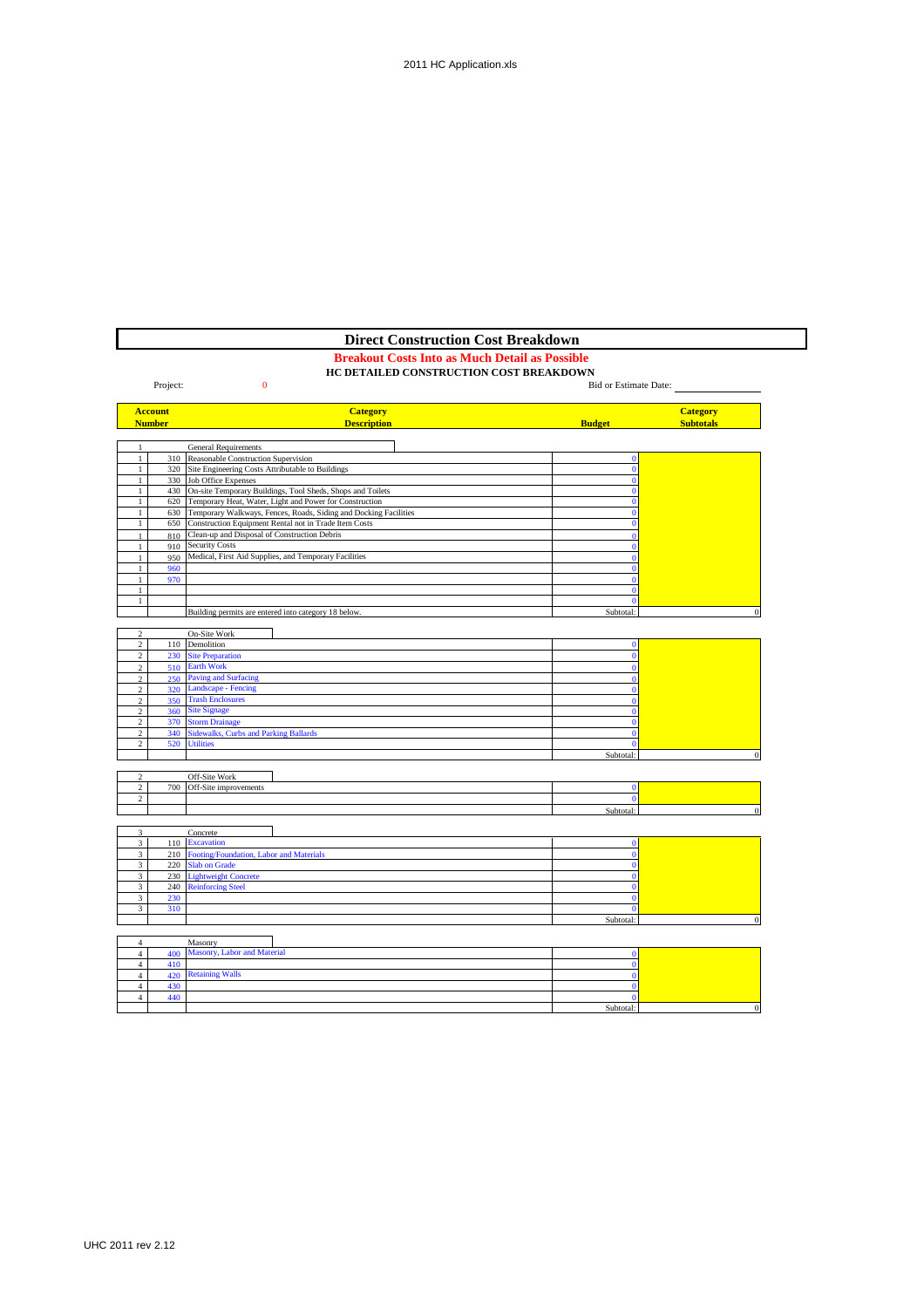# **Direct Construction Cost Breakdown**

#### **Breakout Costs Into as Much Detail as Possible**

|                                  |                | HC DETAILED CONSTRUCTION COST BREAKDOWN                                                                                         |                              |                       |
|----------------------------------|----------------|---------------------------------------------------------------------------------------------------------------------------------|------------------------------|-----------------------|
|                                  | Project:       | $\bf{0}$                                                                                                                        |                              | Bid or Estimate Date: |
|                                  |                |                                                                                                                                 |                              |                       |
|                                  | <b>Account</b> | <b>Category</b>                                                                                                                 |                              | <b>Category</b>       |
|                                  | <b>Number</b>  | <b>Description</b>                                                                                                              | <b>Budget</b>                | <b>Subtotals</b>      |
|                                  |                |                                                                                                                                 |                              |                       |
|                                  |                | <b>General Requirements</b>                                                                                                     |                              |                       |
| $\mathbf{1}$                     | 310            | Reasonable Construction Supervision                                                                                             | $\mathbf{0}$                 |                       |
| $\mathbf{1}$                     | 320            | Site Engineering Costs Attributable to Buildings                                                                                | $\mathbf{0}$                 |                       |
| $\mathbf{1}$                     | 330            | <b>Job Office Expenses</b>                                                                                                      | $\mathbf{0}$                 |                       |
| $\mathbf{1}$                     | 430            | On-site Temporary Buildings, Tool Sheds, Shops and Toilets                                                                      | $\Omega$<br>$\Omega$         |                       |
| 1<br>1                           |                | 620 Temporary Heat, Water, Light and Power for Construction<br>Temporary Walkways, Fences, Roads, Siding and Docking Facilities | $\mathbf{0}$                 |                       |
| 1                                | 630<br>650     | Construction Equipment Rental not in Trade Item Costs                                                                           | $\bf{0}$                     |                       |
|                                  |                | Clean-up and Disposal of Construction Debris                                                                                    | $\Omega$                     |                       |
| $\mathbf{1}$                     | 810<br>910     | <b>Security Costs</b>                                                                                                           | $\Omega$                     |                       |
| 1                                | 950            | Medical, First Aid Supplies, and Temporary Facilities                                                                           | $\mathbf{0}$                 |                       |
| $\mathbf{1}$                     | 960            |                                                                                                                                 | $\Omega$                     |                       |
| $\mathbf{1}$                     | 970            |                                                                                                                                 | $\mathbf{0}$                 |                       |
| $\mathbf{1}$                     |                |                                                                                                                                 | $\mathbf{0}$                 |                       |
| 1                                |                |                                                                                                                                 | $\theta$                     |                       |
|                                  |                | Building permits are entered into category 18 below.                                                                            | Subtotal:                    | $\theta$              |
|                                  |                |                                                                                                                                 |                              |                       |
| $\overline{c}$                   |                | On-Site Work                                                                                                                    |                              |                       |
| $\overline{c}$                   | 110            | Demolition                                                                                                                      | $\mathbf{0}$                 |                       |
| $\overline{\mathbf{c}}$          | 230            | <b>Site Preparation</b>                                                                                                         | $\mathbf{0}$                 |                       |
| $\overline{c}$                   | 510            | <b>Earth Work</b>                                                                                                               | $\mathbf{0}$                 |                       |
| $\overline{c}$                   | 250            | <b>Paving and Surfacing</b>                                                                                                     | $\mathbf{0}$                 |                       |
| $\overline{2}$                   | 320            | <b>Landscape - Fencing</b>                                                                                                      | $\Omega$                     |                       |
| $\overline{c}$                   | 350            | <b>Trash Enclosures</b>                                                                                                         | $\mathbf{0}$                 |                       |
| $\overline{c}$                   | 360            | <b>Site Signage</b>                                                                                                             | $\mathbf{0}$                 |                       |
| $\overline{c}$                   | 370            | <b>Storm Drainage</b>                                                                                                           | $\Omega$                     |                       |
| $\,2$                            | 340            | <b>Sidewalks, Curbs and Parking Ballards</b>                                                                                    | $\mathbf{0}$                 |                       |
| $\overline{2}$                   | 520            | <b>Utilities</b>                                                                                                                | $\mathbf{0}$                 |                       |
|                                  |                |                                                                                                                                 | Subtotal:                    | $\Omega$              |
| 2                                |                | Off-Site Work                                                                                                                   |                              |                       |
| $\overline{c}$                   | 700            | Off-Site improvements                                                                                                           | $\bf{0}$                     |                       |
| $\overline{c}$                   |                |                                                                                                                                 | $\mathbf{0}$                 |                       |
|                                  |                |                                                                                                                                 | Subtotal:                    | $\Omega$              |
|                                  |                |                                                                                                                                 |                              |                       |
| 3                                |                | Concrete                                                                                                                        |                              |                       |
| 3                                | 110            | <b>Excavation</b>                                                                                                               | $\mathbf{0}$                 |                       |
| 3                                |                | 210 Footing/Foundation, Labor and Materials                                                                                     | $\mathbf{0}$                 |                       |
| 3                                | 220            | <b>Slab on Grade</b>                                                                                                            | $\mathbf{0}$                 |                       |
| 3                                | 230            | <b>Lightweight Concrete</b>                                                                                                     | $\mathbf{0}$                 |                       |
| 3                                | 240            | <b>Reinforcing Steel</b>                                                                                                        | $\mathbf{0}$                 |                       |
| $\overline{\mathbf{3}}$          | 230            |                                                                                                                                 | $\mathbf{0}$                 |                       |
| 3                                | 310            |                                                                                                                                 | $\Omega$                     |                       |
|                                  |                |                                                                                                                                 | Subtotal:                    | $\mathbf{0}$          |
|                                  |                |                                                                                                                                 |                              |                       |
| $\overline{4}$                   |                | Masonry                                                                                                                         |                              |                       |
| $\overline{4}$                   | 400            | Masonry, Labor and Material                                                                                                     | $\Omega$                     |                       |
| $\overline{4}$<br>$\overline{4}$ | 410<br>420     | <b>Retaining Walls</b>                                                                                                          | $\mathbf{0}$<br>$\mathbf{0}$ |                       |
| $\sqrt{4}$                       | 430            |                                                                                                                                 | $\theta$                     |                       |
| $\overline{4}$                   | 440            |                                                                                                                                 | $\theta$                     |                       |
|                                  |                |                                                                                                                                 | Subtotal:                    | $\mathbf{0}$          |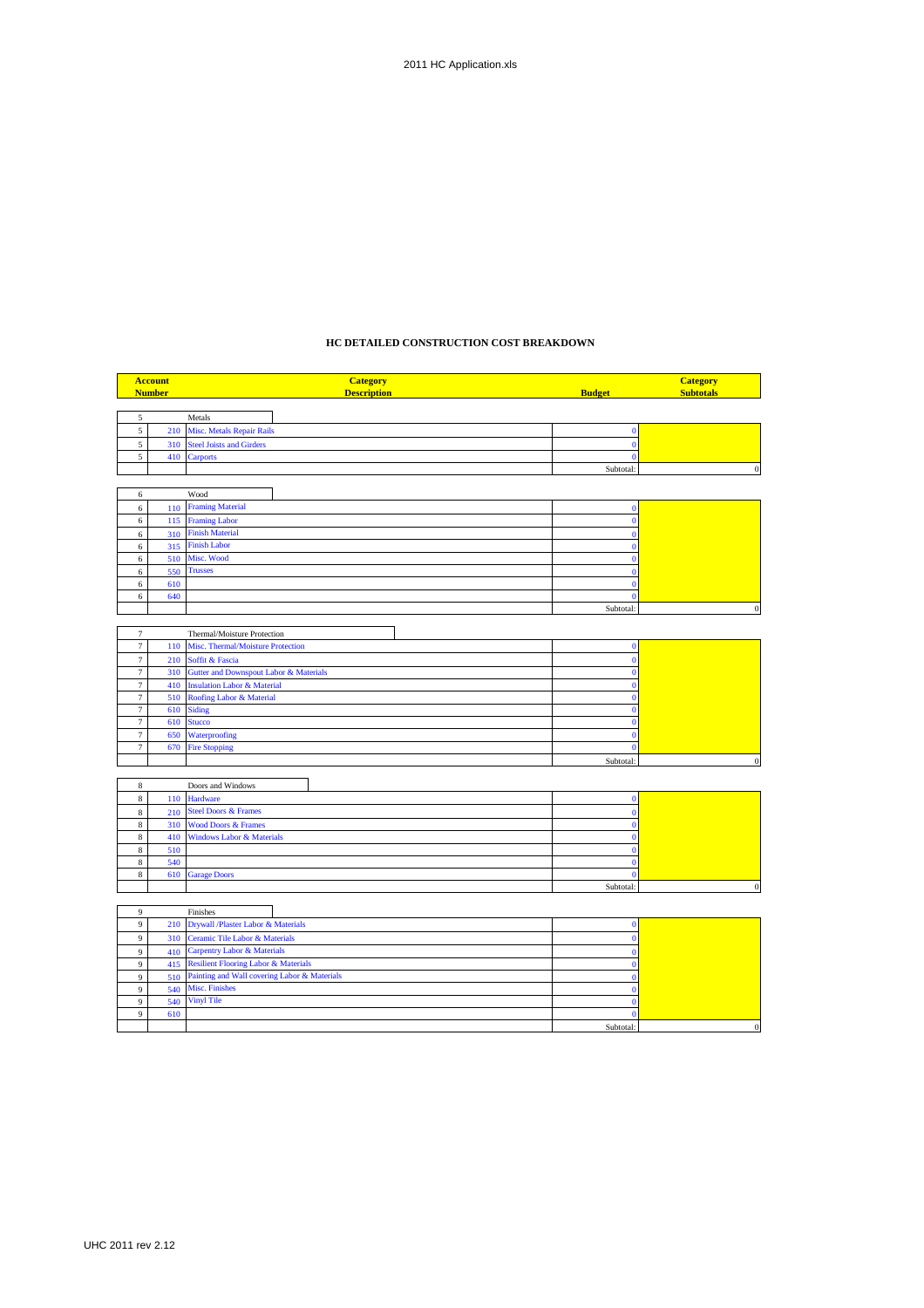# **HC DETAILED CONSTRUCTION COST BREAKDOWN**

|                  | <b>Account</b> | <b>Category</b>                                                                    |               | <b>Category</b>  |
|------------------|----------------|------------------------------------------------------------------------------------|---------------|------------------|
|                  | <b>Number</b>  | <b>Description</b>                                                                 | <b>Budget</b> | <b>Subtotals</b> |
|                  |                |                                                                                    |               |                  |
| 5<br>$\sqrt{5}$  | 210            | Metals<br>Misc. Metals Repair Rails                                                | $\bf{0}$      |                  |
| 5                | 310            | <b>Steel Joists and Girders</b>                                                    | $\Omega$      |                  |
| 5                | 410            | <b>Carports</b>                                                                    | $\Omega$      |                  |
|                  |                |                                                                                    | Subtotal:     | $\boldsymbol{0}$ |
|                  |                |                                                                                    |               |                  |
| 6                |                | Wood                                                                               |               |                  |
| $\,$ 6 $\,$      | 110            | <b>Framing Material</b>                                                            | $\Omega$      |                  |
| $\,$ 6 $\,$      | 115            | <b>Framing Labor</b>                                                               | $\bf{0}$      |                  |
| $\epsilon$       | 310            | <b>Finish Material</b>                                                             |               |                  |
| $\epsilon$       | 315            | <b>Finish Labor</b>                                                                |               |                  |
| 6                | 510            | Misc. Wood                                                                         |               |                  |
| $\,$ 6 $\,$      | 550            | <b>Trusses</b>                                                                     |               |                  |
| $\,$ 6 $\,$      | 610            |                                                                                    |               |                  |
| $\,$ 6 $\,$      | 640            |                                                                                    |               |                  |
|                  |                |                                                                                    | Subtotal:     | $\boldsymbol{0}$ |
| $\tau$           |                | Thermal/Moisture Protection                                                        |               |                  |
| $\tau$           | 110            | Misc. Thermal/Moisture Protection                                                  | $\bf{0}$      |                  |
| $\tau$           | 210            | Soffit & Fascia                                                                    | $\Omega$      |                  |
| $\tau$           | 310            | <b>Gutter and Downspout Labor &amp; Materials</b>                                  |               |                  |
| $\tau$           | 410            | <b>Insulation Labor &amp; Material</b>                                             |               |                  |
| $\tau$           | 510            | Roofing Labor & Material                                                           |               |                  |
| $\tau$           | 610            | <b>Siding</b>                                                                      | $\Omega$      |                  |
| $\tau$           | 610            | <b>Stucco</b>                                                                      |               |                  |
| $\tau$           | 650            | Waterproofing                                                                      |               |                  |
| $\tau$           | 670            | <b>Fire Stopping</b>                                                               | $\mathbf{0}$  |                  |
|                  |                |                                                                                    | Subtotal:     | $\overline{0}$   |
|                  |                |                                                                                    |               |                  |
| 8<br>$\,$ 8 $\,$ | 110            | Doors and Windows<br><b>Hardware</b>                                               | $\bf{0}$      |                  |
| $\,$ 8 $\,$      | 210            | <b>Steel Doors &amp; Frames</b>                                                    | $\Omega$      |                  |
| $\,$ 8 $\,$      | 310            | <b>Wood Doors &amp; Frames</b>                                                     |               |                  |
| $\,$ 8 $\,$      | 410            | <b>Windows Labor &amp; Materials</b>                                               |               |                  |
| $\,$ 8 $\,$      | 510            |                                                                                    | $\Omega$      |                  |
| $\,$ 8 $\,$      | 540            |                                                                                    |               |                  |
| $\,$ 8 $\,$      | 610            | <b>Garage Doors</b>                                                                |               |                  |
|                  |                |                                                                                    | Subtotal:     | $\bf{0}$         |
|                  |                |                                                                                    |               |                  |
| $\overline{9}$   |                | Finishes                                                                           |               |                  |
| $\boldsymbol{9}$ | 210            | Drywall /Plaster Labor & Materials                                                 | $\bf{0}$      |                  |
| 9                | 310            | <b>Ceramic Tile Labor &amp; Materials</b>                                          | $\mathbf{0}$  |                  |
| $\mathfrak{g}$   | 410            | <b>Carpentry Labor &amp; Materials</b><br>415 Resilient Flooring Labor & Materials | $\Omega$      |                  |
| $\mathfrak{g}$   |                |                                                                                    | $\Omega$      |                  |

|     | $+10$ carpently nation be materially             |          |  |
|-----|--------------------------------------------------|----------|--|
|     | 415 Resilient Flooring Labor & Materials         |          |  |
|     | 510 Painting and Wall covering Labor & Materials |          |  |
|     | 540 Misc. Finishes                               |          |  |
|     | 540 Vinyl Tile                                   |          |  |
| 610 |                                                  |          |  |
|     |                                                  | Subtotal |  |

 $\blacksquare$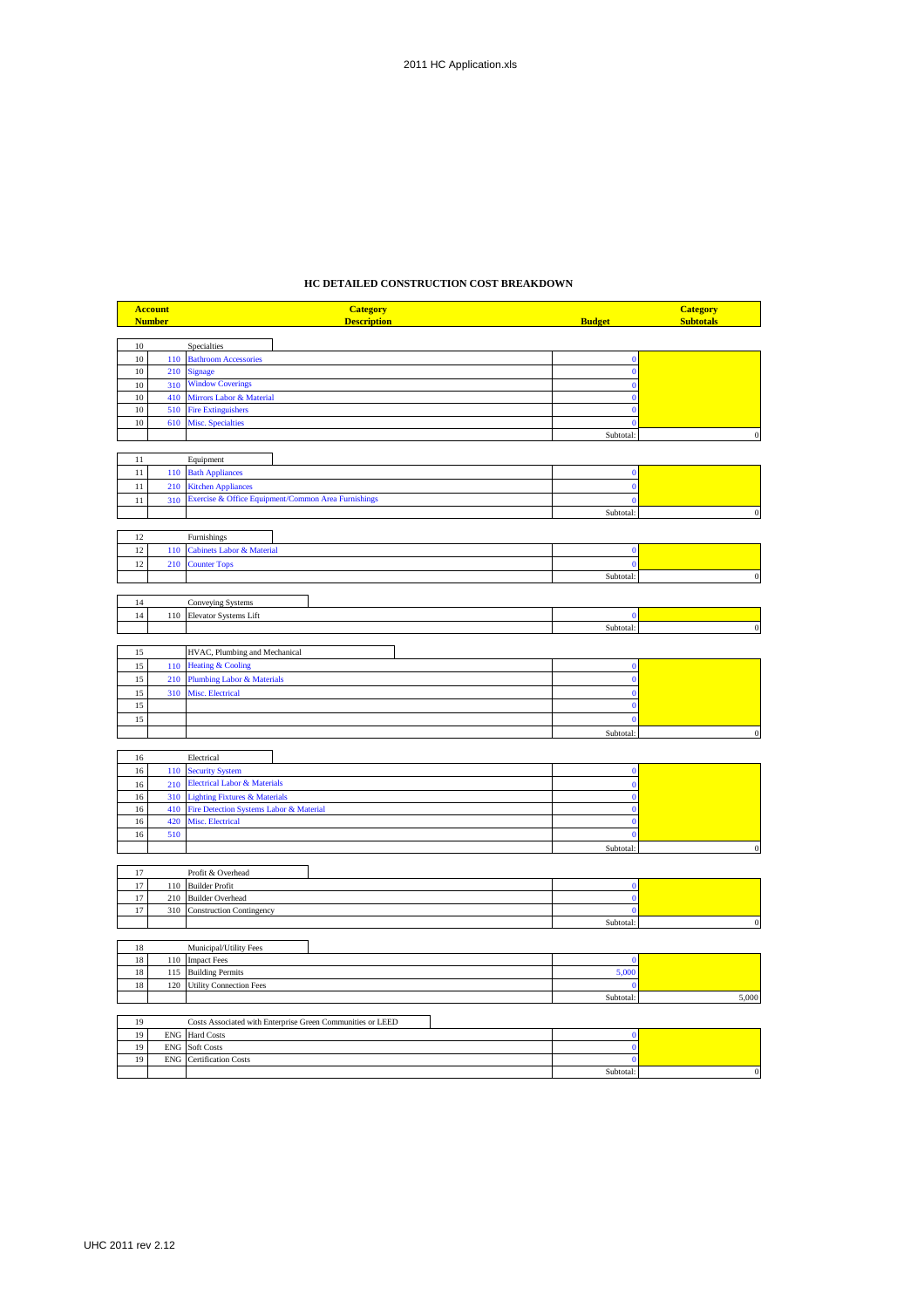## **HC DETAILED CONSTRUCTION COST BREAKDOWN**

|          | <b>Account</b> | <b>Category</b>                                                                  |                             | <b>Category</b>  |
|----------|----------------|----------------------------------------------------------------------------------|-----------------------------|------------------|
|          | <b>Number</b>  | <b>Description</b>                                                               | <b>Budget</b>               | <b>Subtotals</b> |
| $10\,$   |                | <b>Specialties</b>                                                               |                             |                  |
| $10\,$   | 110            | <b>Bathroom Accessories</b>                                                      | $\Omega$                    |                  |
| $10\,$   | 210            | <b>Signage</b>                                                                   | $\bf{0}$                    |                  |
| 10       | 310            | <b>Window Coverings</b>                                                          |                             |                  |
| 10       | 410            | Mirrors Labor & Material                                                         |                             |                  |
| 10       | 510            | <b>Fire Extinguishers</b>                                                        |                             |                  |
| 10       |                | 610 Misc. Specialties                                                            | $\Omega$                    |                  |
|          |                |                                                                                  | Subtotal:                   |                  |
|          |                |                                                                                  |                             |                  |
| 11<br>11 | 110            | Equipment                                                                        | $\bf{0}$                    |                  |
| 11       | 210            | <b>Bath Appliances</b>                                                           | $\mathbf{0}$                |                  |
|          |                | <b>Kitchen Appliances</b><br>Exercise & Office Equipment/Common Area Furnishings | $\mathbf{0}$                |                  |
| 11       | 310            |                                                                                  |                             |                  |
|          |                |                                                                                  | Subtotal:                   | $\boldsymbol{0}$ |
| 12       |                | Furnishings                                                                      |                             |                  |
| 12       | 110            | <b>Cabinets Labor &amp; Material</b>                                             | $\mathbf{0}$                |                  |
| 12       | 210            | <b>Counter Tops</b>                                                              | $\mathbf{0}$                |                  |
|          |                |                                                                                  | Subtotal:                   | $\boldsymbol{0}$ |
|          |                |                                                                                  |                             |                  |
| 14       |                | <b>Conveying Systems</b>                                                         |                             |                  |
| 14       | 110            | Elevator Systems Lift                                                            | $\mathbf{0}$                |                  |
|          |                |                                                                                  | Subtotal:                   | $\boldsymbol{0}$ |
|          |                |                                                                                  |                             |                  |
| 15       |                | HVAC, Plumbing and Mechanical                                                    |                             |                  |
| 15       | 110            | <b>Heating &amp; Cooling</b>                                                     |                             |                  |
| 15       | 210            | Plumbing Labor & Materials                                                       | $\bf{0}$                    |                  |
| 15       | 310            | <b>Misc. Electrical</b>                                                          | $\mathbf{0}$                |                  |
| 15       |                |                                                                                  | $\bf{0}$                    |                  |
| 15       |                |                                                                                  | $\bf{0}$                    |                  |
|          |                |                                                                                  | Subtotal:                   |                  |
| 16       |                | Electrical                                                                       |                             |                  |
| $16\,$   | 110            | <b>Security System</b>                                                           | $\bf{0}$                    |                  |
| 16       | 210            | <b>Electrical Labor &amp; Materials</b>                                          | $\mathbf{0}$                |                  |
| 16       | 310            | <b>Lighting Fixtures &amp; Materials</b>                                         |                             |                  |
| 16       | 410            | Fire Detection Systems Labor & Material                                          | $\mathbf{0}$                |                  |
| $16\,$   | 420            | Misc. Electrical                                                                 | $\mathbf{0}$                |                  |
| 16       | 510            |                                                                                  | $\Omega$                    |                  |
|          |                |                                                                                  | Subtotal:                   | $\Omega$         |
|          |                |                                                                                  |                             |                  |
| 17       |                | Profit & Overhead                                                                |                             |                  |
| 17       | 110            | <b>Builder Profit</b>                                                            | $\bf{0}$                    |                  |
| 17<br>17 | 210            | <b>Builder Overhead</b>                                                          | $\mathbf{0}$<br>$\bf{0}$    |                  |
|          | 310            | <b>Construction Contingency</b>                                                  | Subtotal:                   | $\overline{0}$   |
|          |                |                                                                                  |                             |                  |
| $18\,$   |                | Municipal/Utility Fees                                                           |                             |                  |
| 18       | 110            | <b>Impact Fees</b>                                                               | $\Omega$                    |                  |
| $18\,$   | 115            | <b>Building Permits</b>                                                          | 5,000                       |                  |
| 18       | 120            | <b>Utility Connection Fees</b>                                                   | $\Omega$                    |                  |
|          |                |                                                                                  | Subtotal                    | 5,000            |
|          |                |                                                                                  |                             |                  |
| 19       |                | Costs Associated with Enterprise Green Communities or LEED                       |                             |                  |
| 19<br>19 |                | ENG Hard Costs<br>ENG Soft Costs                                                 | $\mathbf 0$<br>$\mathbf{0}$ |                  |
|          |                |                                                                                  |                             |                  |

19 ENG Certification Costs 0

er and the subtotal:<br>
and the subtotal:<br>  $\begin{array}{ccc} 0 & 0 & 0 \\ 0 & 0 & 0 \\ 0 & 0 & 0 \\ 0 & 0 & 0 \\ 0 & 0 & 0 \\ 0 & 0 & 0 \\ 0 & 0 & 0 \\ 0 & 0 & 0 \\ 0 & 0 & 0 \\ 0 & 0 & 0 \\ 0 & 0 & 0 \\ 0 & 0 & 0 \\ 0 & 0 & 0 \\ 0 & 0 & 0 & 0 \\ 0 & 0 & 0 & 0 \\ 0 & 0 & 0 & 0 \\ 0 & 0 & 0 & 0 \\ 0 & 0 & 0$ 

T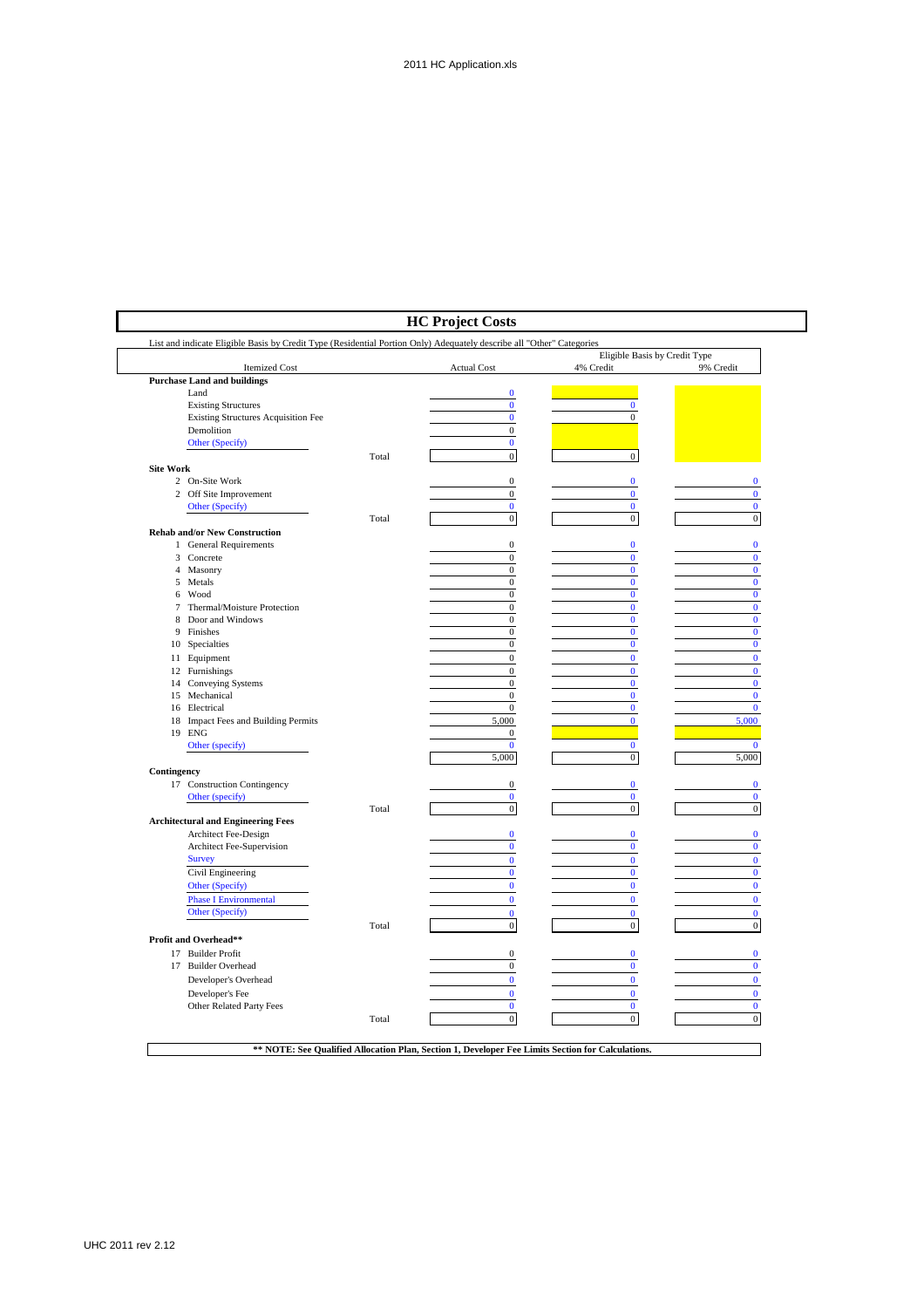|                                                                                                                       |       | <b>HC Project Costs</b>      |                                            |                   |
|-----------------------------------------------------------------------------------------------------------------------|-------|------------------------------|--------------------------------------------|-------------------|
| List and indicate Eligible Basis by Credit Type (Residential Portion Only) Adequately describe all "Other" Categories |       |                              |                                            |                   |
| <b>Itemized Cost</b>                                                                                                  |       | <b>Actual Cost</b>           | Eligible Basis by Credit Type<br>4% Credit | 9% Credit         |
| <b>Purchase Land and buildings</b>                                                                                    |       |                              |                                            |                   |
| Land                                                                                                                  |       | $\mathbf{0}$                 |                                            |                   |
| <b>Existing Structures</b>                                                                                            |       | $\bf{0}$                     | $\bf{0}$                                   |                   |
| <b>Existing Structures Acquisition Fee</b>                                                                            |       | $\mathbf{0}$                 | $\overline{0}$                             |                   |
| Demolition                                                                                                            |       | $\mathbf{0}$<br>$\mathbf{0}$ |                                            |                   |
| Other (Specify)                                                                                                       |       |                              |                                            |                   |
| <b>Site Work</b>                                                                                                      | Total | $\mathbf{0}$                 | $\mathbf{0}$                               |                   |
| 2 On-Site Work                                                                                                        |       | $\boldsymbol{0}$             | $\bf{0}$                                   | $\bf{0}$          |
| 2 Off Site Improvement                                                                                                |       | $\boldsymbol{0}$             | $\bf{0}$                                   | $\bf{0}$          |
| Other (Specify)                                                                                                       |       | $\bf{0}$                     | $\bf{0}$                                   | $\bf{0}$          |
|                                                                                                                       | Total | $\bf{0}$                     | $\boldsymbol{0}$                           | $\overline{0}$    |
| <b>Rehab and/or New Construction</b>                                                                                  |       |                              |                                            |                   |
| 1 General Requirements                                                                                                |       | $\boldsymbol{0}$             | $\mathbf{0}$                               | $\mathbf{0}$      |
| 3 Concrete                                                                                                            |       | $\mathbf{0}$                 | $\bf{0}$                                   | $\bf{0}$          |
| 4 Masonry                                                                                                             |       | $\boldsymbol{0}$             | $\bf{0}$                                   | $\bf{0}$          |
| 5 Metals                                                                                                              |       | $\mathbf{0}$                 | $\bf{0}$                                   | $\bf{0}$          |
| 6 Wood                                                                                                                |       | $\boldsymbol{0}$             | $\bf{0}$                                   | $\bf{0}$          |
| Thermal/Moisture Protection<br>7                                                                                      |       | $\mathbf{0}$                 | $\mathbf{0}$                               | $\bf{0}$          |
| Door and Windows<br>8                                                                                                 |       | $\boldsymbol{0}$             | $\overline{0}$                             | $\bf{0}$          |
| Finishes<br>9                                                                                                         |       | $\mathbf{0}$                 | $\mathbf{0}$                               | $\mathbf{0}$      |
| 10 Specialties                                                                                                        |       | $\boldsymbol{0}$             | $\bf{0}$                                   | $\bf{0}$          |
| 11 Equipment                                                                                                          |       | $\mathbf 0$                  | $\bf{0}$                                   | $\mathbf{0}$      |
| 12 Furnishings                                                                                                        |       | $\boldsymbol{0}$             | $\bf{0}$                                   | $\bf{0}$          |
| 14 Conveying Systems                                                                                                  |       | $\boldsymbol{0}$             | $\bf{0}$                                   | $\mathbf{0}$      |
| 15 Mechanical                                                                                                         |       | $\boldsymbol{0}$             | $\bf{0}$                                   | $\mathbf{0}$      |
| 16 Electrical                                                                                                         |       | $\boldsymbol{0}$             | $\bf{0}$                                   | $\mathbf{0}$      |
| 18 Impact Fees and Building Permits                                                                                   |       | 5,000                        | $\bf{0}$                                   | 5,000             |
| 19 ENG                                                                                                                |       | $\mathbf{0}$                 |                                            |                   |
| Other (specify)                                                                                                       |       | $\mathbf{0}$<br>5,000        | $\bf{0}$                                   | $\bf{0}$<br>5,000 |
|                                                                                                                       |       |                              | $\boldsymbol{0}$                           |                   |
| Contingency                                                                                                           |       | $\mathbf{0}$                 | $\bf{0}$                                   | $\bf{0}$          |
| 17 Construction Contingency                                                                                           |       | $\bf{0}$                     | $\bf{0}$                                   | $\bf{0}$          |
| Other (specify)                                                                                                       | Total | $\boldsymbol{0}$             | $\boldsymbol{0}$                           | $\boldsymbol{0}$  |
| <b>Architectural and Engineering Fees</b>                                                                             |       |                              |                                            |                   |
| Architect Fee-Design                                                                                                  |       | $\bf{0}$                     | $\bf{0}$                                   | $\bf{0}$          |
| Architect Fee-Supervision                                                                                             |       | $\pmb{0}$                    | $\bf{0}$                                   | $\bf{0}$          |
| <b>Survey</b>                                                                                                         |       | $\bf{0}$                     | $\mathbf{0}$                               | $\mathbf{0}$      |
| Civil Engineering                                                                                                     |       | $\bf{0}$                     | $\bf{0}$                                   | $\mathbf{0}$      |
| Other (Specify)                                                                                                       |       | $\bf{0}$                     | $\bf{0}$                                   | $\mathbf{0}$      |
| <b>Phase I Environmental</b>                                                                                          |       | $\mathbf 0$                  | $\bf{0}$                                   | $\bf{0}$          |
| Other (Specify)                                                                                                       |       | $\mathbf{0}$                 | $\bf{0}$                                   | $\bf{0}$          |
|                                                                                                                       | Total | $\boldsymbol{0}$             | $\boldsymbol{0}$                           | $\boldsymbol{0}$  |
| Profit and Overhead**                                                                                                 |       |                              |                                            |                   |
| 17 Builder Profit                                                                                                     |       | $\boldsymbol{0}$             | $\bf{0}$                                   | $\bf{0}$          |
| 17 Builder Overhead                                                                                                   |       | $\boldsymbol{0}$             | $\bf{0}$                                   | $\bf{0}$          |
| Developer's Overhead                                                                                                  |       | $\bf{0}$                     | $\mathbf{0}$                               | $\bf{0}$          |
| Developer's Fee                                                                                                       |       | $\bf{0}$                     | $\bf{0}$                                   | $\mathbf{0}$      |
| Other Related Party Fees                                                                                              |       | $\bf{0}$                     | $\bf{0}$                                   | $\bf{0}$          |
|                                                                                                                       | Total | $\mathbf{0}$                 | $\mathbf 0$                                | $\mathbf{0}$      |
|                                                                                                                       |       |                              |                                            |                   |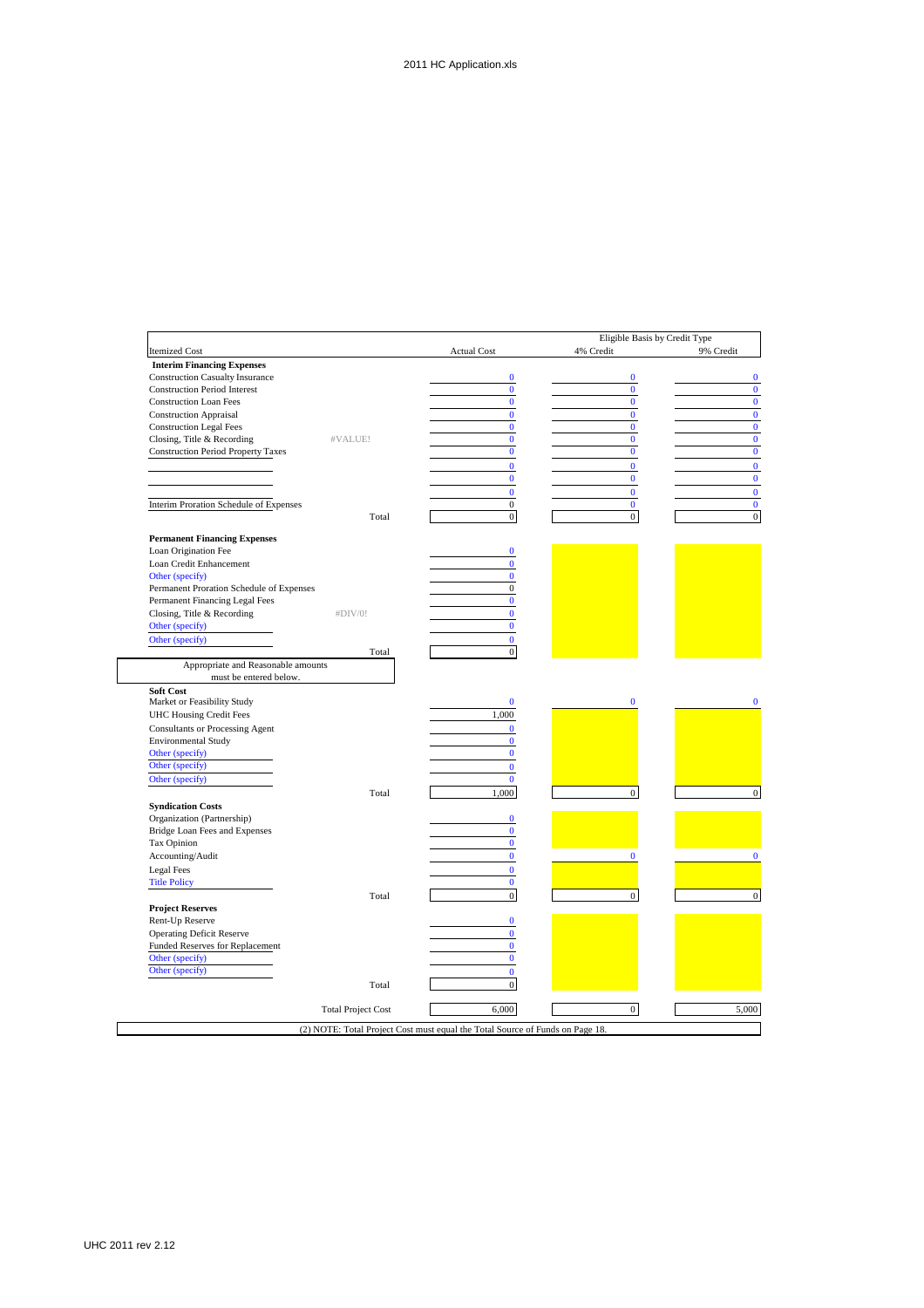|                                                              |                           |                    | Eligible Basis by Credit Type<br>4% Credit | 9% Credit |
|--------------------------------------------------------------|---------------------------|--------------------|--------------------------------------------|-----------|
| <b>Itemized Cost</b>                                         |                           | <b>Actual Cost</b> |                                            |           |
| <b>Interim Financing Expenses</b>                            |                           |                    |                                            |           |
| <b>Construction Casualty Insurance</b>                       |                           | $\bf{0}$           | $\bf{0}$                                   |           |
| <b>Construction Period Interest</b>                          |                           | $\bf{0}$           | $\mathbf{0}$                               |           |
| <b>Construction Loan Fees</b>                                |                           | $\bf{0}$           | $\mathbf{0}$                               |           |
| <b>Construction Appraisal</b>                                |                           | $\overline{0}$     | $\mathbf{0}$                               |           |
| <b>Construction Legal Fees</b>                               |                           | $\bf{0}$           | $\mathbf{0}$                               |           |
| Closing, Title & Recording                                   | #VALUE!                   | $\bf{0}$           | $\mathbf{0}$                               |           |
| <b>Construction Period Property Taxes</b>                    |                           | $\bf{0}$           | $\mathbf{0}$                               |           |
|                                                              |                           | $\overline{0}$     | $\mathbf{0}$                               |           |
|                                                              |                           | $\bf{0}$           | $\bf{0}$                                   |           |
|                                                              |                           | $\mathbf{0}$       | $\mathbf{0}$                               |           |
| Interim Proration Schedule of Expenses                       |                           | $\boldsymbol{0}$   | $\bf{0}$                                   |           |
|                                                              | Total                     | $\overline{0}$     | $\overline{0}$                             |           |
|                                                              |                           |                    |                                            |           |
| <b>Permanent Financing Expenses</b>                          |                           |                    |                                            |           |
| Loan Origination Fee                                         |                           | $\bf{0}$           |                                            |           |
| Loan Credit Enhancement                                      |                           | $\mathbf{0}$       |                                            |           |
| Other (specify)                                              |                           | $\mathbf{0}$       |                                            |           |
| Permanent Proration Schedule of Expenses                     |                           | $\mathbf{0}$       |                                            |           |
| Permanent Financing Legal Fees                               |                           | $\bf{0}$           |                                            |           |
| Closing, Title & Recording                                   | #DIV/0!                   | $\bf{0}$           |                                            |           |
|                                                              |                           | $\bf{0}$           |                                            |           |
| Other (specify)                                              |                           |                    |                                            |           |
| Other (specify)                                              |                           | $\mathbf{0}$       |                                            |           |
|                                                              | Total                     | $\mathbf{0}$       |                                            |           |
| Appropriate and Reasonable amounts<br>must be entered below. |                           |                    |                                            |           |
| <b>Soft Cost</b>                                             |                           |                    |                                            |           |
| Market or Feasibility Study                                  |                           |                    |                                            |           |
|                                                              |                           |                    |                                            |           |
|                                                              |                           | $\bf{0}$           | $\bf{0}$                                   |           |
| <b>UHC Housing Credit Fees</b>                               |                           | 1,000              |                                            |           |
| <b>Consultants or Processing Agent</b>                       |                           | $\bf{0}$           |                                            |           |
| <b>Environmental Study</b>                                   |                           | $\mathbf{0}$       |                                            |           |
| Other (specify)                                              |                           | $\bf{0}$           |                                            |           |
|                                                              |                           | $\bf{0}$           |                                            |           |
| Other (specify)                                              |                           | $\bf{0}$           |                                            |           |
| Other (specify)                                              | Total                     | 1.000              | $\mathbf{0}$                               |           |
|                                                              |                           |                    |                                            |           |
| <b>Syndication Costs</b>                                     |                           |                    |                                            |           |
| Organization (Partnership)                                   |                           | $\bf{0}$           |                                            |           |
| Bridge Loan Fees and Expenses                                |                           | $\bf{0}$           |                                            |           |
| Tax Opinion                                                  |                           | $\mathbf{0}$       |                                            |           |
| Accounting/Audit                                             |                           | $\bf{0}$           | $\mathbf{0}$                               |           |
| Legal Fees                                                   |                           | $\mathbf{0}$       |                                            |           |
| <b>Title Policy</b>                                          |                           | $\bf{0}$           |                                            |           |
|                                                              | Total                     | $\mathbf{0}$       | $\mathbf{0}$                               |           |
|                                                              |                           |                    |                                            |           |
| <b>Project Reserves</b>                                      |                           | $\bf{0}$           |                                            |           |
| Rent-Up Reserve                                              |                           |                    |                                            |           |
| <b>Operating Deficit Reserve</b>                             |                           | $\bf{0}$           |                                            |           |
| Funded Reserves for Replacement                              |                           | $\mathbf{0}$       |                                            |           |
| Other (specify)                                              |                           | $\bf{0}$           |                                            |           |
| Other (specify)                                              |                           | $\mathbf{0}$       |                                            |           |
|                                                              | Total                     | $\boldsymbol{0}$   |                                            |           |
|                                                              | <b>Total Project Cost</b> | 6,000              | $\boldsymbol{0}$                           | 5,000     |

(2) NOTE: Total Project Cost must equal the Total Source of Funds on Page 18.

 $\Box$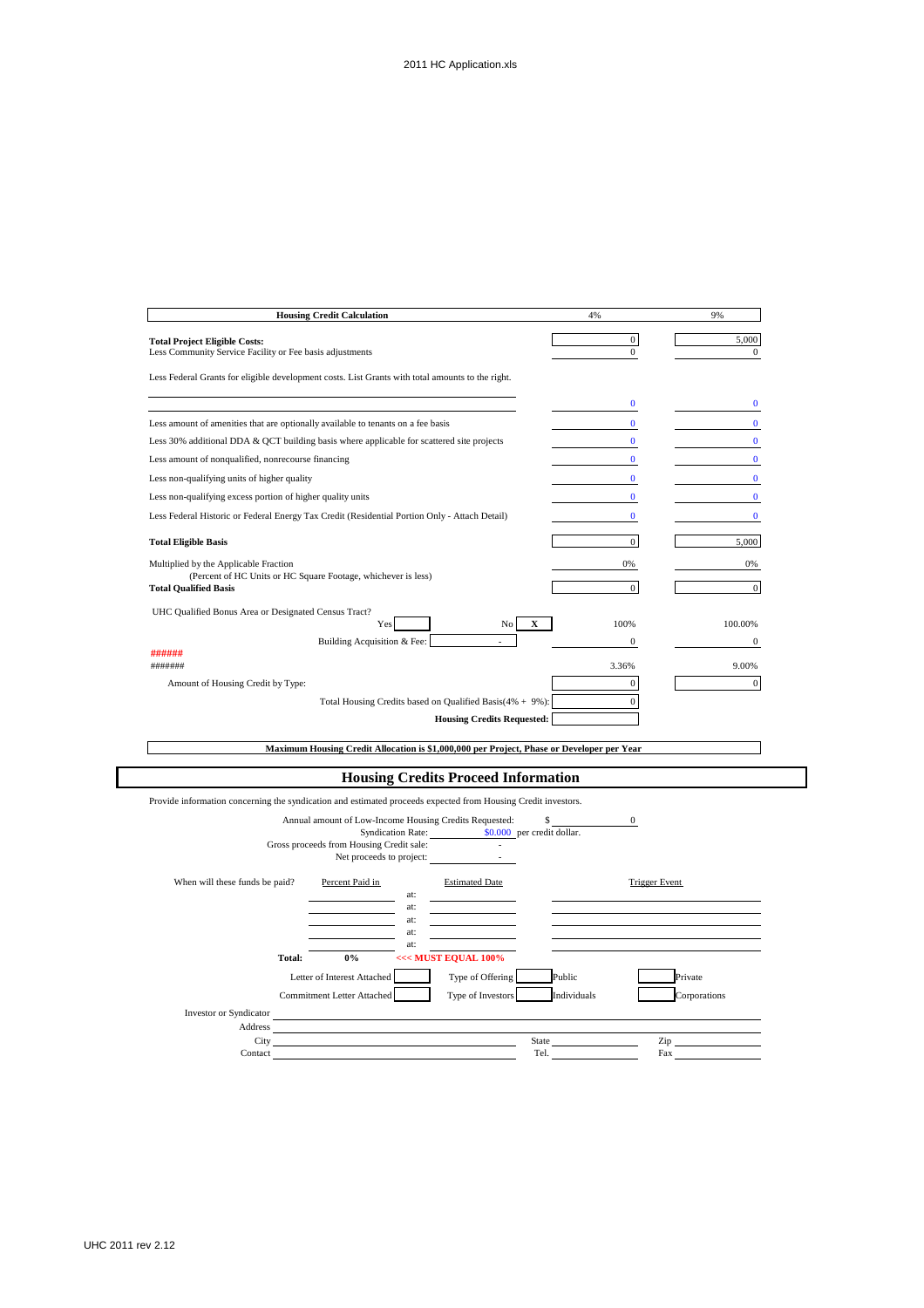| <b>Housing Credit Calculation</b>                                                                                                                                             | 4%                       | 9%                   |
|-------------------------------------------------------------------------------------------------------------------------------------------------------------------------------|--------------------------|----------------------|
| <b>Total Project Eligible Costs:</b>                                                                                                                                          | $\boldsymbol{0}$         | 5,000                |
| Less Community Service Facility or Fee basis adjustments                                                                                                                      | $\boldsymbol{0}$         | $\bf{0}$             |
| Less Federal Grants for eligible development costs. List Grants with total amounts to the right.                                                                              |                          |                      |
|                                                                                                                                                                               | $\bf{0}$                 | $\bf{0}$             |
|                                                                                                                                                                               |                          |                      |
| Less amount of amenities that are optionally available to tenants on a fee basis<br>Less 30% additional DDA & QCT building basis where applicable for scattered site projects | $\bf{0}$<br>$\bf{0}$     | $\bf{0}$<br>$\bf{0}$ |
|                                                                                                                                                                               |                          |                      |
| Less amount of nonqualified, nonrecourse financing<br>Less non-qualifying units of higher quality                                                                             | $\bf{0}$<br>$\mathbf{0}$ | $\bf{0}$<br>$\bf{0}$ |
|                                                                                                                                                                               |                          |                      |
| Less non-qualifying excess portion of higher quality units                                                                                                                    | $\bf{0}$                 | $\bf{0}$             |
| Less Federal Historic or Federal Energy Tax Credit (Residential Portion Only - Attach Detail)                                                                                 | $\bf{0}$                 | $\bf{0}$             |
| <b>Total Eligible Basis</b>                                                                                                                                                   | $\boldsymbol{0}$         | 5.000                |
| Multiplied by the Applicable Fraction                                                                                                                                         | 0%                       | 0%                   |
| (Percent of HC Units or HC Square Footage, whichever is less)<br><b>Total Qualified Basis</b>                                                                                 | $\boldsymbol{0}$         | $\boldsymbol{0}$     |
|                                                                                                                                                                               |                          |                      |
| UHC Qualified Bonus Area or Designated Census Tract?<br>X<br>Yes<br>No                                                                                                        | 100%                     | 100.00%              |
| Building Acquisition & Fee:                                                                                                                                                   | 0                        | $\overline{0}$       |
| ######                                                                                                                                                                        |                          |                      |
| #######                                                                                                                                                                       | 3.36%                    | 9.00%                |
| Amount of Housing Credit by Type:                                                                                                                                             | $\boldsymbol{0}$         | $\boldsymbol{0}$     |
| Total Housing Credits based on Qualified Basis(4% + 9%):                                                                                                                      | $\boldsymbol{0}$         |                      |
| <b>Housing Credits Requested:</b>                                                                                                                                             |                          |                      |
| Maximum Housing Credit Allocation is \$1,000,000 per Project, Phase or Developer per Year                                                                                     |                          |                      |
|                                                                                                                                                                               |                          |                      |
| <b>Housing Credits Proceed Information</b>                                                                                                                                    |                          |                      |
| Provide information concerning the syndication and estimated proceeds expected from Housing Credit investors.                                                                 |                          |                      |
| Annual amount of Low-Income Housing Credits Requested:<br>\$                                                                                                                  | $\mathbf{0}$             |                      |
| <b>Syndication Rate:</b><br>\$0.000 per credit dollar.<br>Gross proceeds from Housing Credit sale:                                                                            |                          |                      |
| Net proceeds to project:                                                                                                                                                      |                          |                      |
| When will these funds be paid?<br>Percent Paid in<br><b>Estimated Date</b>                                                                                                    | <b>Trigger Event</b>     |                      |
| at:                                                                                                                                                                           |                          |                      |
| at:<br>at:                                                                                                                                                                    |                          |                      |
| at:                                                                                                                                                                           |                          |                      |
| at:<br><<< MUST EQUAL 100%<br>Total:<br>$0\%$                                                                                                                                 |                          |                      |
| Letter of Interest Attached<br>Type of Offering                                                                                                                               | Public                   | Private              |
| Commitment Letter Attached<br>Type of Investors                                                                                                                               | Individuals              | Corporations         |
|                                                                                                                                                                               |                          |                      |
|                                                                                                                                                                               |                          |                      |
| Investor or Syndicator<br>Address                                                                                                                                             |                          |                      |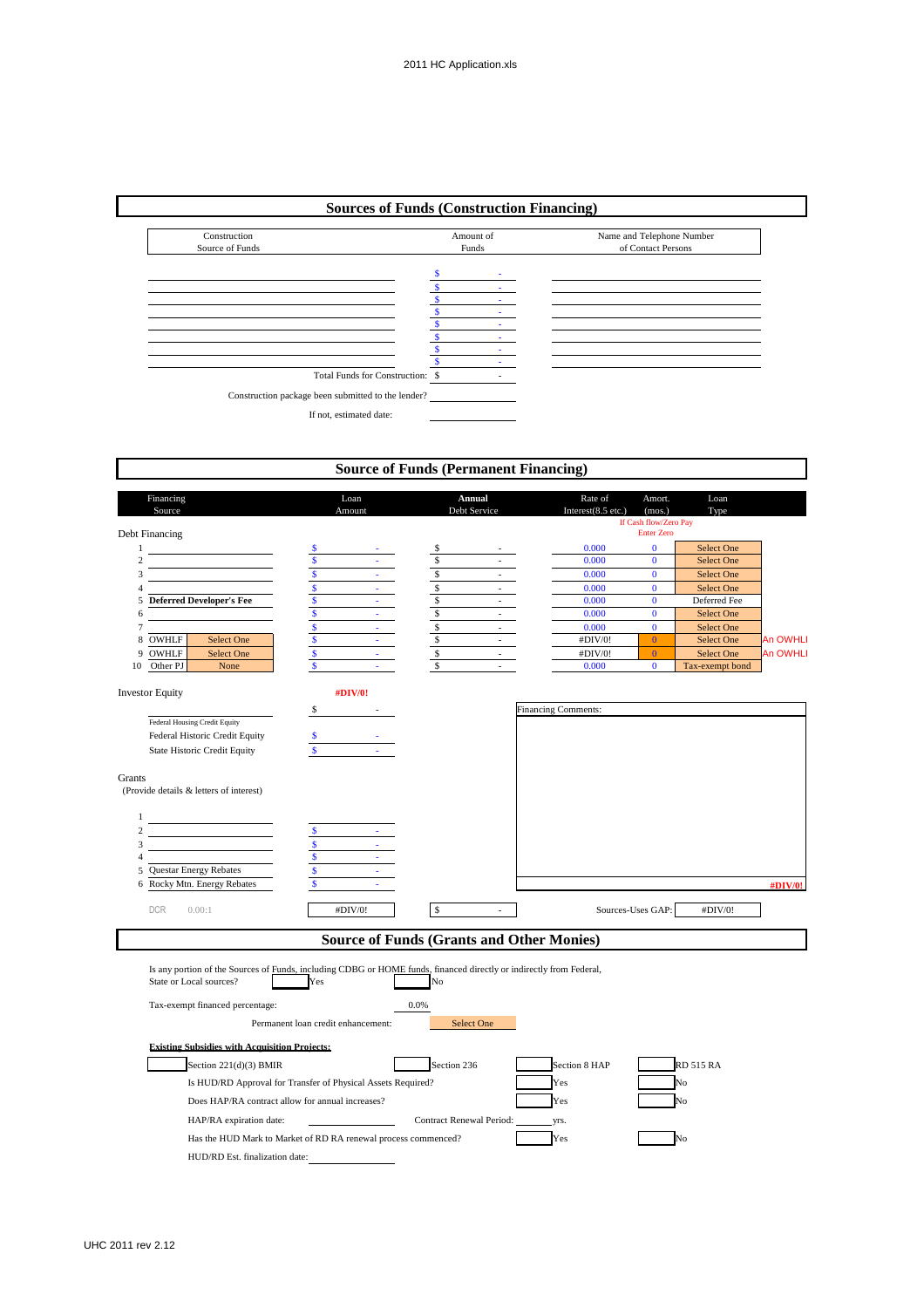| Construction<br>Source of Funds  | Amount of<br>Funds | Name and Telephone Number<br>of Contact Persons |
|----------------------------------|--------------------|-------------------------------------------------|
|                                  | ٠                  |                                                 |
|                                  |                    |                                                 |
|                                  |                    |                                                 |
|                                  |                    |                                                 |
|                                  |                    |                                                 |
|                                  |                    |                                                 |
|                                  |                    |                                                 |
|                                  |                    |                                                 |
| Total Funds for Construction: \$ |                    |                                                 |

|                                       |                                                                                                                                                |                                    |                            | <b>Source of Funds (Permanent Financing)</b>     |        |                                  |                                                                |                   |                 |
|---------------------------------------|------------------------------------------------------------------------------------------------------------------------------------------------|------------------------------------|----------------------------|--------------------------------------------------|--------|----------------------------------|----------------------------------------------------------------|-------------------|-----------------|
| Financing<br>Source<br>Debt Financing |                                                                                                                                                |                                    | Loan<br>Amount             | Annual<br>Debt Service                           |        | Rate of<br>Interest $(8.5$ etc.) | Amort.<br>(mos.)<br>If Cash flow/Zero Pay<br><b>Enter Zero</b> | Loan<br>Type      |                 |
| $\mathbf{1}$                          |                                                                                                                                                |                                    |                            |                                                  |        | 0.000                            | $\bf{0}$                                                       | Select One        |                 |
| $\overline{c}$                        |                                                                                                                                                | $\mathbf{s}$                       |                            | \$                                               |        | 0.000                            | $\bf{0}$                                                       | Select One        |                 |
| 3                                     |                                                                                                                                                | $\overline{\mathbf{s}}$            | a i                        | $\overline{\mathcal{S}}$                         | $\sim$ | 0.000                            | $\bf{0}$                                                       | Select One        |                 |
| 4                                     |                                                                                                                                                | $\mathsf{s}$                       | a.                         | $\sqrt{\ }$                                      |        | 0.000                            | $\bf{0}$                                                       | Select One        |                 |
|                                       | 5 Deferred Developer's Fee                                                                                                                     | $\mathbf{s}$                       | $\omega_{\rm{max}}$        | $\mathbb{S}$                                     |        | 0.000                            | $\bf{0}$                                                       | Deferred Fee      |                 |
| 6                                     |                                                                                                                                                | $\mathbf{s}$                       | $\omega_{\rm{eff}}$        | $\mathbb{S}$                                     | $\sim$ | 0.000                            | $\mathbf{0}$                                                   | Select One        |                 |
|                                       |                                                                                                                                                | \$                                 | $\omega_{\rm{eff}}$        | $rac{s}{s}$                                      |        | 0.000                            | $\mathbf{0}$                                                   | <b>Select One</b> |                 |
| 8 OWHLF                               | Select One                                                                                                                                     | $\sqrt{s}$                         | $\Delta \sim 10^4$         |                                                  | $\sim$ | #DIV/0!                          | $\overline{0}$                                                 | Select One        | <b>An OWHLI</b> |
| OWHLF<br>9                            | Select One                                                                                                                                     | $\mathbf{s}$                       | $\mathcal{L}^{\text{max}}$ | $\mathbb{S}$                                     | $\sim$ | #DIV/0!                          | $\overline{0}$                                                 | Select One        | <b>An OWHLI</b> |
| Other PJ<br>10                        | None                                                                                                                                           | $\mathbf{s}$                       |                            | $\mathbb{S}$                                     | $\sim$ | 0.000                            | $\bf{0}$                                                       | Tax-exempt bond   |                 |
| <b>Investor Equity</b>                |                                                                                                                                                |                                    | #DIV/0!                    |                                                  |        |                                  |                                                                |                   |                 |
|                                       |                                                                                                                                                | S                                  |                            |                                                  |        | <b>Financing Comments:</b>       |                                                                |                   |                 |
|                                       | Federal Housing Credit Equity                                                                                                                  |                                    |                            |                                                  |        |                                  |                                                                |                   |                 |
|                                       | Federal Historic Credit Equity                                                                                                                 |                                    |                            |                                                  |        |                                  |                                                                |                   |                 |
|                                       | <b>State Historic Credit Equity</b>                                                                                                            |                                    |                            |                                                  |        |                                  |                                                                |                   |                 |
| Grants                                | (Provide details & letters of interest)                                                                                                        |                                    |                            |                                                  |        |                                  |                                                                |                   |                 |
| 1                                     |                                                                                                                                                |                                    |                            |                                                  |        |                                  |                                                                |                   |                 |
| $\overline{c}$                        |                                                                                                                                                |                                    |                            |                                                  |        |                                  |                                                                |                   |                 |
| 3                                     |                                                                                                                                                | $\mathbf{s}$                       |                            |                                                  |        |                                  |                                                                |                   |                 |
| $\overline{4}$                        |                                                                                                                                                | $\mathbb S$                        |                            |                                                  |        |                                  |                                                                |                   |                 |
|                                       | 5 Questar Energy Rebates                                                                                                                       | $\mathbf{s}$                       |                            |                                                  |        |                                  |                                                                |                   |                 |
|                                       | 6 Rocky Mtn. Energy Rebates                                                                                                                    | $\mathbf{s}$                       | ÷                          |                                                  |        |                                  |                                                                |                   | #DIV/0!         |
| <b>DCR</b>                            | 0.00:1                                                                                                                                         |                                    | #DIV/0!                    | $\mathbb{S}$                                     | $\sim$ |                                  | Sources-Uses GAP:                                              | #DIV/0!           |                 |
|                                       |                                                                                                                                                |                                    |                            | <b>Source of Funds (Grants and Other Monies)</b> |        |                                  |                                                                |                   |                 |
|                                       | Is any portion of the Sources of Funds, including CDBG or HOME funds, financed directly or indirectly from Federal,<br>State or Local sources? | Yes                                |                            | No                                               |        |                                  |                                                                |                   |                 |
|                                       | Tax-exempt financed percentage:                                                                                                                |                                    |                            | 0.0%                                             |        |                                  |                                                                |                   |                 |
|                                       |                                                                                                                                                | Permanent loan credit enhancement: |                            | Select One                                       |        |                                  |                                                                |                   |                 |
|                                       | <b>Existing Subsidies with Acquisition Projects:</b>                                                                                           |                                    |                            |                                                  |        |                                  |                                                                |                   |                 |
|                                       | Section 221(d)(3) BMIR                                                                                                                         |                                    |                            | Section 236                                      |        | Section 8 HAP                    |                                                                | <b>RD 515 RA</b>  |                 |
|                                       | Is HUD/RD Approval for Transfer of Physical Assets Required?                                                                                   |                                    |                            |                                                  |        | Yes                              |                                                                |                   |                 |
|                                       | Does HAP/RA contract allow for annual increases?                                                                                               |                                    |                            |                                                  |        | Yes                              |                                                                |                   |                 |
|                                       | HAP/RA expiration date:                                                                                                                        |                                    |                            | Contract Renewal Period:                         |        | yrs.                             |                                                                |                   |                 |
|                                       | Has the HUD Mark to Market of RD RA renewal process commenced?                                                                                 |                                    |                            |                                                  |        | Yes                              |                                                                | Ñ٥                |                 |
|                                       | HUD/RD Est. finalization date:                                                                                                                 |                                    |                            |                                                  |        |                                  |                                                                |                   |                 |

 $\Gamma$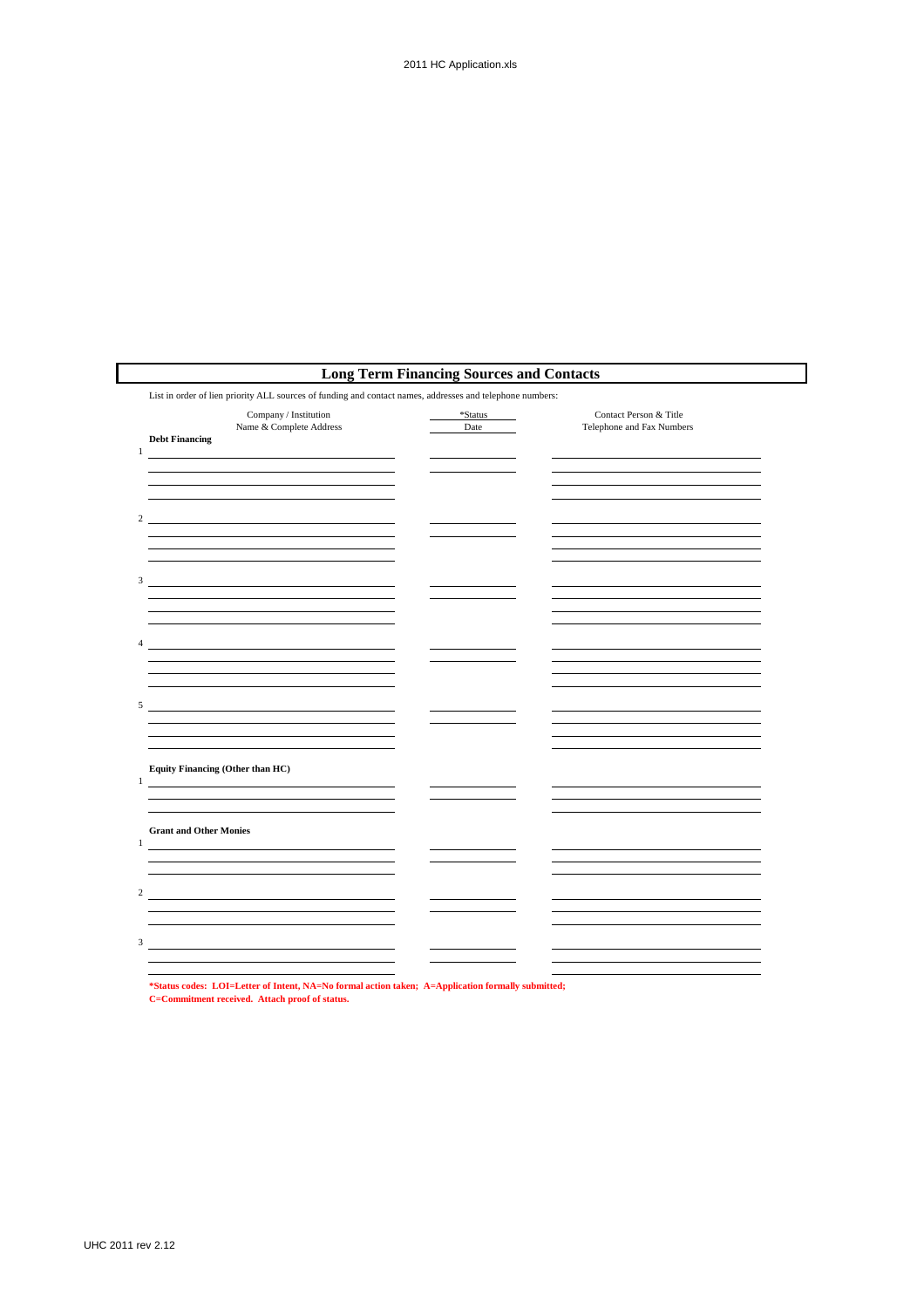|                                                                                                           | <b>Long Term Financing Sources and Contacts</b> |                                                     |
|-----------------------------------------------------------------------------------------------------------|-------------------------------------------------|-----------------------------------------------------|
| List in order of lien priority ALL sources of funding and contact names, addresses and telephone numbers: |                                                 |                                                     |
| Company / Institution<br>Name & Complete Address<br><b>Debt Financing</b><br>$\mathbf{1}$                 | *Status<br>Date                                 | Contact Person & Title<br>Telephone and Fax Numbers |
|                                                                                                           |                                                 |                                                     |
| $\overline{2}$                                                                                            |                                                 |                                                     |
| 3 <sup>7</sup>                                                                                            |                                                 |                                                     |
|                                                                                                           |                                                 |                                                     |
| $\overline{4}$                                                                                            |                                                 |                                                     |
| 5                                                                                                         |                                                 |                                                     |
|                                                                                                           |                                                 |                                                     |
| Equity Financing (Other than HC)<br>1                                                                     |                                                 |                                                     |
| <b>Grant and Other Monies</b>                                                                             |                                                 |                                                     |
| $\mathbf{1}$                                                                                              |                                                 |                                                     |
| $\overline{c}$                                                                                            |                                                 |                                                     |
| 3                                                                                                         |                                                 |                                                     |
|                                                                                                           |                                                 |                                                     |

**\*Status codes: LOI=Letter of Intent, NA=No formal action taken; A=Application formally submitted; C=Commitment received. Attach proof of status.**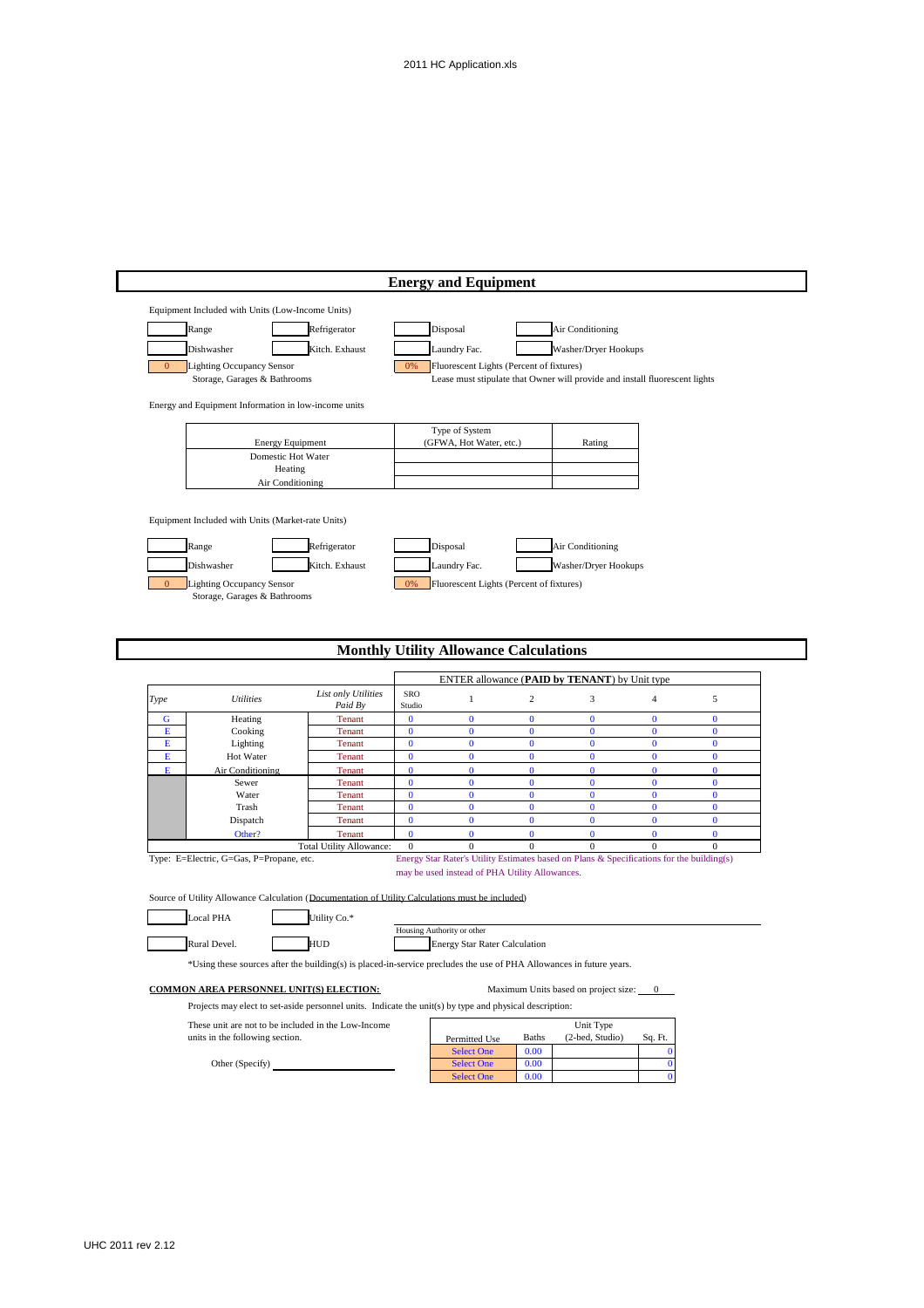|             |                                                                  |                                                                                                                      |                      | <b>Energy and Equipment</b>                                        |                          |                                                                                                           |                      |                      |
|-------------|------------------------------------------------------------------|----------------------------------------------------------------------------------------------------------------------|----------------------|--------------------------------------------------------------------|--------------------------|-----------------------------------------------------------------------------------------------------------|----------------------|----------------------|
|             | Equipment Included with Units (Low-Income Units)                 |                                                                                                                      |                      |                                                                    |                          |                                                                                                           |                      |                      |
|             | Range                                                            | Refrigerator                                                                                                         |                      | Disposal                                                           |                          | Air Conditioning                                                                                          |                      |                      |
|             |                                                                  |                                                                                                                      |                      |                                                                    |                          |                                                                                                           |                      |                      |
|             | Dishwasher                                                       | Kitch. Exhaust                                                                                                       |                      | Laundry Fac.                                                       |                          | Washer/Dryer Hookups                                                                                      |                      |                      |
| $\Omega$    | <b>Lighting Occupancy Sensor</b><br>Storage, Garages & Bathrooms |                                                                                                                      | 0%                   | Fluorescent Lights (Percent of fixtures)                           |                          | Lease must stipulate that Owner will provide and install fluorescent lights                               |                      |                      |
|             |                                                                  |                                                                                                                      |                      |                                                                    |                          |                                                                                                           |                      |                      |
|             | Energy and Equipment Information in low-income units             |                                                                                                                      |                      |                                                                    |                          |                                                                                                           |                      |                      |
|             |                                                                  |                                                                                                                      |                      |                                                                    |                          |                                                                                                           |                      |                      |
|             |                                                                  | <b>Energy Equipment</b>                                                                                              |                      | Type of System<br>(GFWA, Hot Water, etc.)                          |                          | Rating                                                                                                    |                      |                      |
|             |                                                                  | Domestic Hot Water                                                                                                   |                      |                                                                    |                          |                                                                                                           |                      |                      |
|             |                                                                  | Heating                                                                                                              |                      |                                                                    |                          |                                                                                                           |                      |                      |
|             |                                                                  | Air Conditioning                                                                                                     |                      |                                                                    |                          |                                                                                                           |                      |                      |
|             |                                                                  |                                                                                                                      |                      |                                                                    |                          |                                                                                                           |                      |                      |
|             | Equipment Included with Units (Market-rate Units)                |                                                                                                                      |                      |                                                                    |                          |                                                                                                           |                      |                      |
|             |                                                                  |                                                                                                                      |                      |                                                                    |                          |                                                                                                           |                      |                      |
|             | Range                                                            | Refrigerator                                                                                                         |                      | Disposal                                                           |                          | Air Conditioning                                                                                          |                      |                      |
|             | Dishwasher                                                       | Kitch. Exhaust                                                                                                       |                      | Laundry Fac.                                                       |                          | Washer/Dryer Hookups                                                                                      |                      |                      |
| $\Omega$    | <b>Lighting Occupancy Sensor</b>                                 |                                                                                                                      | 0%                   | Fluorescent Lights (Percent of fixtures)                           |                          |                                                                                                           |                      |                      |
|             | Storage, Garages & Bathrooms                                     |                                                                                                                      |                      |                                                                    |                          |                                                                                                           |                      |                      |
|             |                                                                  |                                                                                                                      |                      | <b>Monthly Utility Allowance Calculations</b>                      |                          |                                                                                                           |                      |                      |
|             |                                                                  |                                                                                                                      |                      |                                                                    |                          |                                                                                                           |                      |                      |
|             |                                                                  |                                                                                                                      |                      |                                                                    |                          | ENTER allowance (PAID by TENANT) by Unit type                                                             |                      |                      |
|             |                                                                  | List only Utilities                                                                                                  | SRO                  | $\mathbf{1}$                                                       | $\overline{c}$           |                                                                                                           | $\overline{4}$       |                      |
| Type        | <b>Utilities</b>                                                 | Paid By                                                                                                              | Studio               |                                                                    |                          | 3                                                                                                         |                      | $\sqrt{5}$           |
| G<br>E      | Heating                                                          | Tenant                                                                                                               | $\bf{0}$<br>$\bf{0}$ | $\bf{0}$<br>$\bf{0}$                                               | $\bf{0}$<br>$\bf{0}$     | $\bf{0}$<br>$\bf{0}$                                                                                      | $\bf{0}$<br>$\bf{0}$ | $\bf{0}$<br>$\bf{0}$ |
| Е           | Cooking<br>Lighting                                              | Tenant<br>Tenant                                                                                                     | $\bf{0}$             | $\bf{0}$                                                           | $\bf{0}$                 | $\bf{0}$                                                                                                  | $\bf{0}$             | $\bf{0}$             |
| $\mathbf E$ | Hot Water                                                        | Tenant                                                                                                               | $\bf{0}$             | $\bf{0}$                                                           | $\bf{0}$                 | $\bf{0}$                                                                                                  | $\mathbf 0$          | $\bf{0}$             |
| E           | Air Conditioning                                                 | <b>Tenant</b>                                                                                                        | $\bf{0}$             | $\bf{0}$                                                           | $\mathbf{0}$             | $\mathbf{0}$                                                                                              | $\bf{0}$             | $\bf{0}$             |
|             | Sewer<br>Water                                                   | Tenant<br>Tenant                                                                                                     | $\bf{0}$<br>$\bf{0}$ | $\bf{0}$<br>$\bf{0}$                                               | $\mathbf{0}$<br>$\bf{0}$ | $\bf{0}$<br>$\bf{0}$                                                                                      | $\bf{0}$<br>$\bf{0}$ | $\bf{0}$<br>$\bf{0}$ |
|             | Trash                                                            | Tenant                                                                                                               | $\bf{0}$             | $\bf{0}$                                                           | $\bf{0}$                 | $\bf{0}$                                                                                                  | $\bf{0}$             | $\bf{0}$             |
|             | Dispatch                                                         | Tenant                                                                                                               | $\bf{0}$             | $\bf{0}$                                                           | $\bf{0}$                 | $\mathbf{0}$                                                                                              | $\bf{0}$             | $\bf{0}$             |
|             | Other?                                                           | Tenant                                                                                                               | $\mathbf{0}$         | $\mathbf{0}$                                                       | $\mathbf{0}$             | $\mathbf{0}$                                                                                              | $\mathbf{0}$         | $\mathbf{0}$         |
|             | Type: E=Electric, G=Gas, P=Propane, etc.                         | <b>Total Utility Allowance:</b>                                                                                      | $\boldsymbol{0}$     | $\boldsymbol{0}$                                                   | $\boldsymbol{0}$         | $\mathbf{0}$<br>Energy Star Rater's Utility Estimates based on Plans & Specifications for the building(s) | $\mathbf{0}$         | $\boldsymbol{0}$     |
|             |                                                                  |                                                                                                                      |                      | may be used instead of PHA Utility Allowances.                     |                          |                                                                                                           |                      |                      |
|             |                                                                  |                                                                                                                      |                      |                                                                    |                          |                                                                                                           |                      |                      |
|             |                                                                  | Source of Utility Allowance Calculation (Documentation of Utility Calculations must be included)                     |                      |                                                                    |                          |                                                                                                           |                      |                      |
|             | Local PHA                                                        | Utility Co.*                                                                                                         |                      |                                                                    |                          |                                                                                                           |                      |                      |
|             | Rural Devel.                                                     | <b>HUD</b>                                                                                                           |                      | Housing Authority or other<br><b>Energy Star Rater Calculation</b> |                          |                                                                                                           |                      |                      |
|             |                                                                  |                                                                                                                      |                      |                                                                    |                          |                                                                                                           |                      |                      |
|             |                                                                  | *Using these sources after the building(s) is placed-in-service precludes the use of PHA Allowances in future years. |                      |                                                                    |                          |                                                                                                           |                      |                      |
|             | <b>COMMON AREA PERSONNEL UNIT(S) ELECTION:</b>                   |                                                                                                                      |                      |                                                                    |                          | Maximum Units based on project size: 0                                                                    |                      |                      |
|             |                                                                  | Projects may elect to set-aside personnel units. Indicate the unit(s) by type and physical description:              |                      |                                                                    |                          |                                                                                                           |                      |                      |
|             |                                                                  | These unit are not to be included in the Low-Income                                                                  |                      |                                                                    |                          | Unit Type                                                                                                 |                      |                      |
|             | units in the following section.                                  |                                                                                                                      |                      | Permitted Use                                                      | <b>Baths</b>             | (2-bed, Studio)                                                                                           | Sq. Ft.              |                      |
|             | Other (Specify)                                                  |                                                                                                                      |                      | <b>Select One</b><br><b>Select One</b>                             | 0.00<br>0.00             |                                                                                                           | $\Omega$<br>$\bf{0}$ |                      |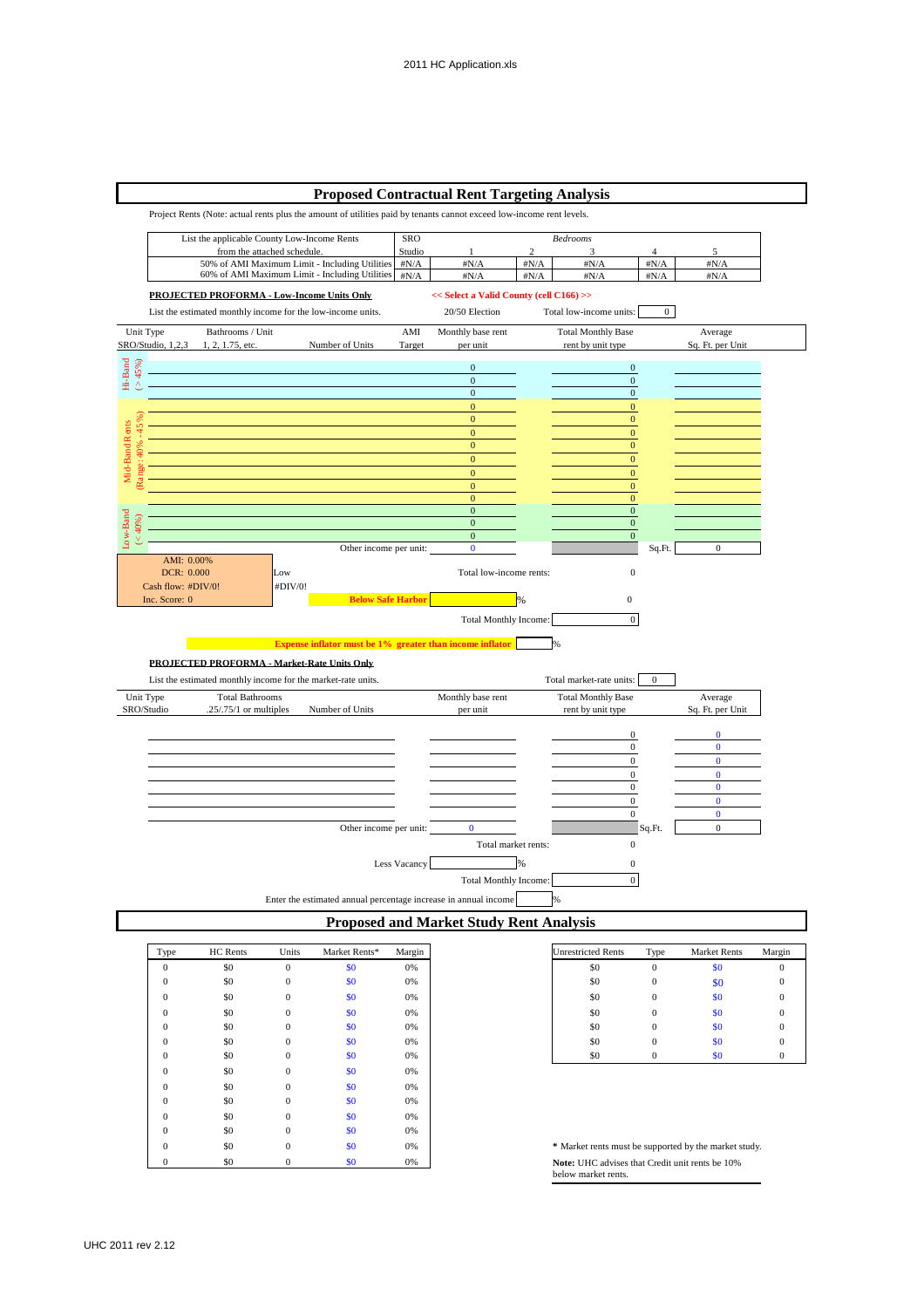# **Proposed Contractual Rent Targeting Analysis**

Project Rents (Note: actual rents plus the amount of utilities paid by tenants cannot exceed low-income rent levels.



| Type         | HC Rents | Units        | Market Rents* | Margin |
|--------------|----------|--------------|---------------|--------|
| $\mathbf{0}$ | \$0      | $\mathbf{0}$ | \$0           | 0%     |
| 0            | \$0      | $\mathbf{0}$ | \$0           | 0%     |
| 0            | \$0      | $\mathbf{0}$ | \$0           | 0%     |
| 0            | \$0      | $\mathbf{0}$ | \$0           | 0%     |
| 0            | \$0      | $\mathbf{0}$ | \$0           | 0%     |
|              | \$0      | $\mathbf{0}$ | \$0           | 0%     |
| 0            | \$0      | $\mathbf{0}$ | \$0           | 0%     |
| 0            | \$0      | $\mathbf{0}$ | \$0           | 0%     |
| 0            | \$0      | $\mathbf{0}$ | \$0           | 0%     |
|              | \$0      | $\mathbf{0}$ | \$0           | 0%     |
|              | \$0      | $\mathbf{0}$ | \$0           | 0%     |
|              | \$0      | $\mathbf{0}$ | \$0           | 0%     |
|              | \$0      | $\mathbf{0}$ | \$0           | 0%     |
| 0            | \$0      | 0            | \$0           | 0%     |

| <b>Unrestricted Rents</b> | Type | <b>Market Rents</b> | Margin |
|---------------------------|------|---------------------|--------|
| \$0                       |      | \$0                 | 0      |
| \$0                       | 0    | \$0                 | 0      |
| \$0                       | 0    | \$0                 | 0      |
| \$0                       | 0    | \$0                 | 0      |
| \$0                       | 0    | \$0                 | 0      |
| \$0                       | 0    | \$0                 | 0      |
| \$0                       |      | \$0                 |        |

0 \$0 0 \$0 0% 0 **\*** Market rents must be supported by the market study. **Note:** UHC advises that Credit unit rents be 10% below market rents.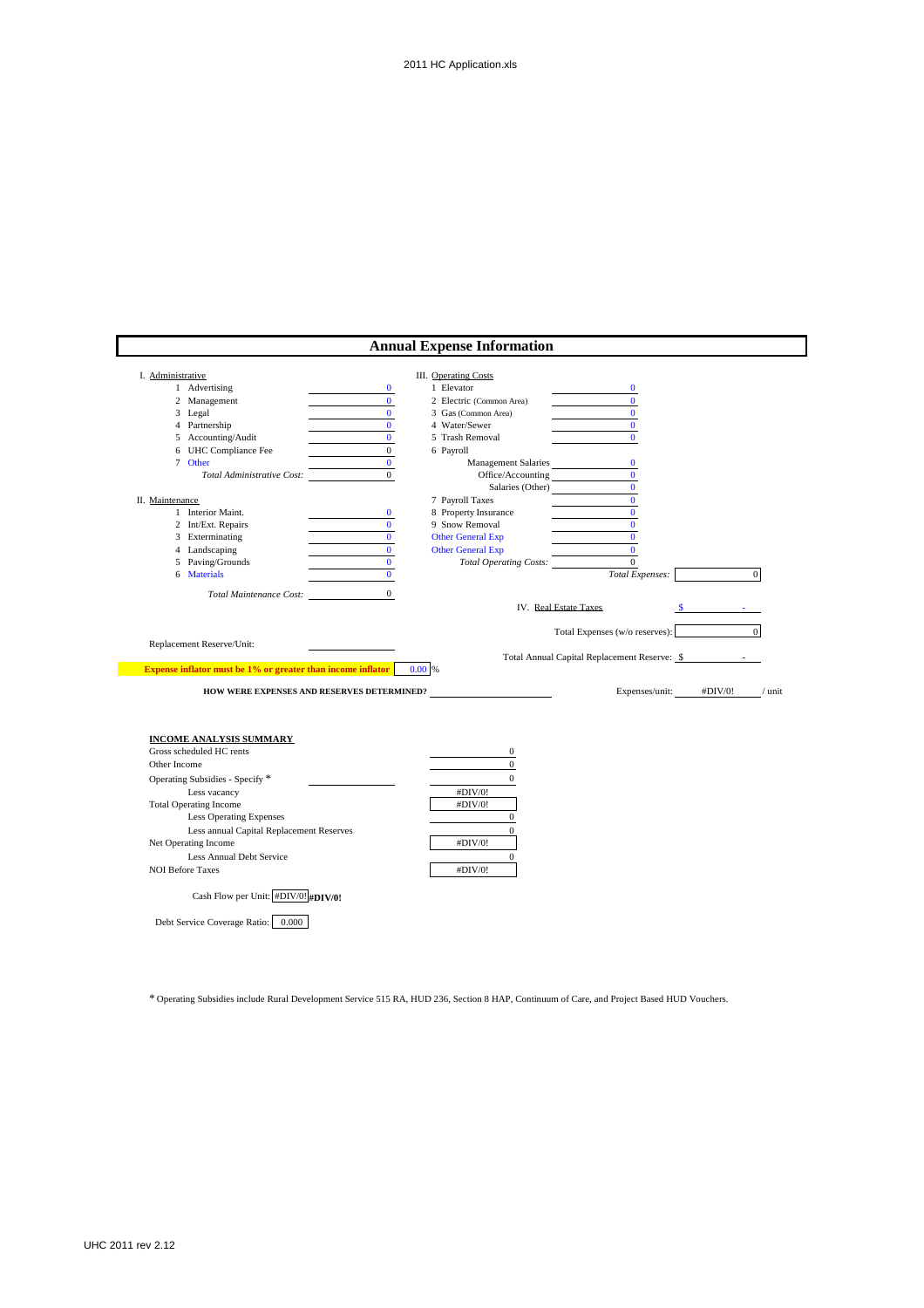| I. Administrative       |                                                                                                 |              | <b>III.</b> Operating Costs   |                                                  |          |
|-------------------------|-------------------------------------------------------------------------------------------------|--------------|-------------------------------|--------------------------------------------------|----------|
|                         | 1 Advertising                                                                                   | $\bf{0}$     | 1 Elevator                    | $\bf{0}$                                         |          |
|                         | 2 Management                                                                                    | $\mathbf{0}$ | 2 Electric (Common Area)      | $\mathbf{0}$                                     |          |
|                         | 3 Legal                                                                                         | $\mathbf{0}$ | 3 Gas (Common Area)           | $\mathbf{0}$                                     |          |
|                         | 4 Partnership                                                                                   | $\mathbf{0}$ | 4 Water/Sewer                 | $\mathbf{0}$                                     |          |
|                         | 5 Accounting/Audit                                                                              | $\mathbf{0}$ | 5 Trash Removal               | $\mathbf{0}$                                     |          |
|                         | 6 UHC Compliance Fee                                                                            | $\mathbf{0}$ | 6 Payroll                     |                                                  |          |
|                         | 7 Other                                                                                         | $\mathbf{0}$ | Management Salaries           | $\bf{0}$                                         |          |
|                         | Total Administrative Cost:                                                                      | $\Omega$     | Office/Accounting             | $\Omega$                                         |          |
|                         |                                                                                                 |              | Salaries (Other)              | $\mathbf{0}$                                     |          |
| II. Maintenance         |                                                                                                 |              | 7 Payroll Taxes               | $\mathbf{0}$                                     |          |
|                         | 1 Interior Maint.                                                                               | $\bf{0}$     | 8 Property Insurance          | $\bf{0}$                                         |          |
|                         | 2 Int/Ext. Repairs                                                                              | $\mathbf{0}$ | 9 Snow Removal                | $\mathbf{0}$                                     |          |
|                         | 3 Exterminating                                                                                 | $\mathbf{0}$ | <b>Other General Exp</b>      | $\mathbf{0}$                                     |          |
|                         | 4 Landscaping                                                                                   | $\mathbf{0}$ | <b>Other General Exp</b>      | $\mathbf{0}$                                     |          |
|                         | 5 Paving/Grounds                                                                                | $\bf{0}$     | <b>Total Operating Costs:</b> | $\mathbf{0}$                                     |          |
|                         | 6 Materials                                                                                     | $\mathbf{0}$ |                               | Total Expenses:<br>$\overline{0}$                |          |
|                         |                                                                                                 |              |                               | $\overline{0}$<br>Total Expenses (w/o reserves): |          |
|                         | Replacement Reserve/Unit:<br><b>Expense inflator must be 1% or greater than income inflator</b> |              | 0.00 %                        | Total Annual Capital Replacement Reserve: \$     |          |
|                         | HOW WERE EXPENSES AND RESERVES DETERMINED?                                                      |              |                               | Expenses/unit:<br>#DIV/0!                        |          |
|                         | INCOME ANALYSIS SUMMARY                                                                         |              |                               |                                                  |          |
|                         | Gross scheduled HC rents                                                                        |              | $\bf{0}$                      |                                                  |          |
| Other Income            |                                                                                                 |              | $\mathbf{0}$                  |                                                  |          |
|                         | Operating Subsidies - Specify *                                                                 |              | $\mathbf{0}$                  |                                                  |          |
|                         | Less vacancy                                                                                    |              | #DIV/0!                       |                                                  |          |
|                         | <b>Total Operating Income</b>                                                                   |              | #DIV/0!                       |                                                  |          |
|                         | <b>Less Operating Expenses</b>                                                                  |              | $\mathbf{0}$                  |                                                  | $/$ unit |
|                         | Less annual Capital Replacement Reserves                                                        |              | $\theta$                      |                                                  |          |
|                         | Net Operating Income                                                                            |              | #DIV/0!                       |                                                  |          |
|                         | Less Annual Debt Service                                                                        |              | $\mathbf{0}$                  |                                                  |          |
| <b>NOI Before Taxes</b> |                                                                                                 |              | #DIV/0!                       |                                                  |          |

\* Operating Subsidies include Rural Development Service 515 RA, HUD 236, Section 8 HAP, Continuum of Care, and Project Based HUD Vouchers.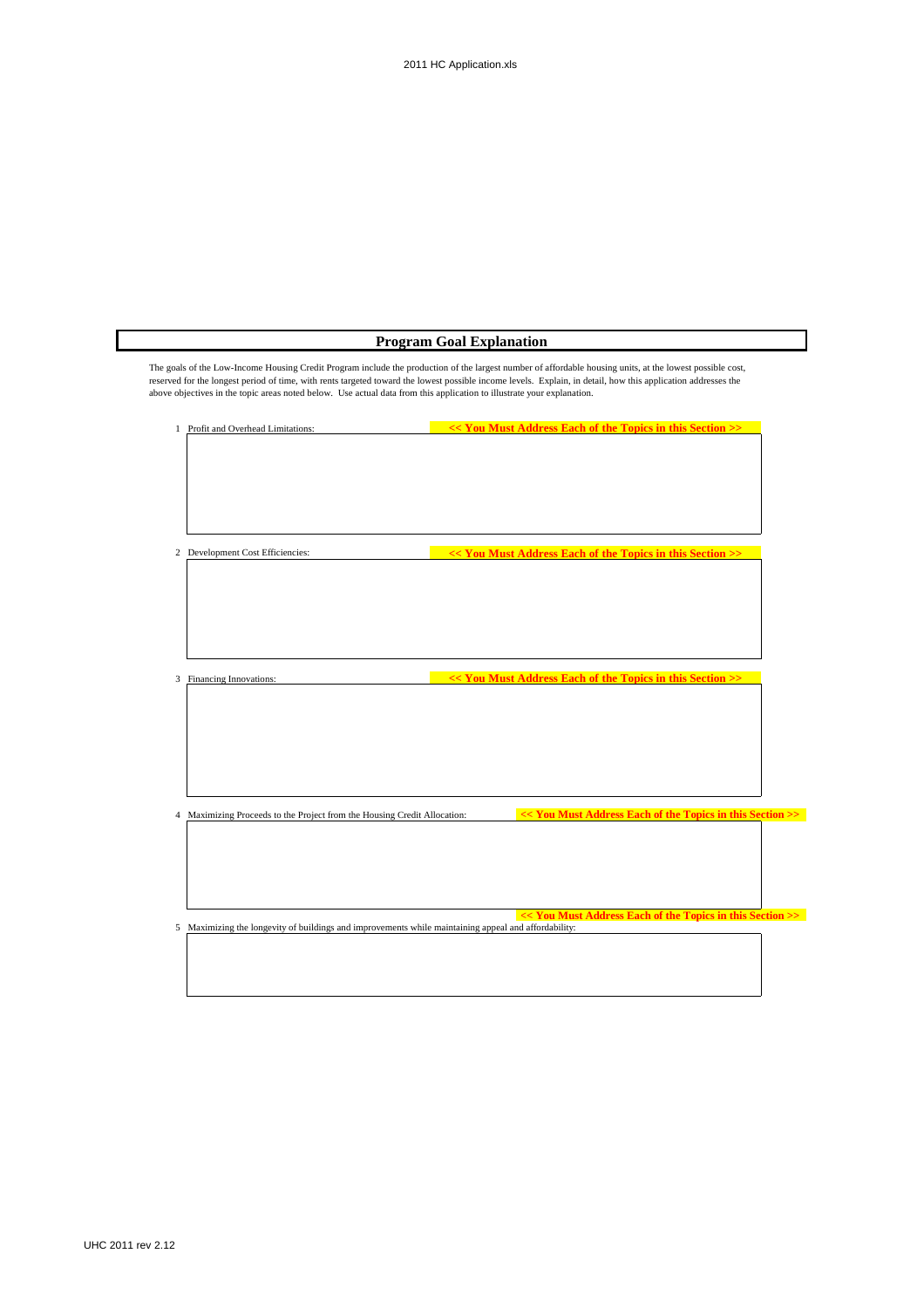| 1 Profit and Overhead Limitations:                                          | << You Must Address Each of the Topics in this Section >> |
|-----------------------------------------------------------------------------|-----------------------------------------------------------|
|                                                                             |                                                           |
|                                                                             |                                                           |
|                                                                             |                                                           |
|                                                                             |                                                           |
| 2 Development Cost Efficiencies:                                            | << You Must Address Each of the Topics in this Section >> |
|                                                                             |                                                           |
|                                                                             |                                                           |
|                                                                             |                                                           |
|                                                                             |                                                           |
| Financing Innovations:<br>3                                                 | << You Must Address Each of the Topics in this Section >> |
|                                                                             |                                                           |
|                                                                             |                                                           |
|                                                                             |                                                           |
|                                                                             |                                                           |
| Maximizing Proceeds to the Project from the Housing Credit Allocation:<br>4 | << You Must Address Each of the Topics in this Section >> |
|                                                                             |                                                           |
|                                                                             |                                                           |
|                                                                             |                                                           |
|                                                                             | << You Must Address Each of the Topics in this Section >> |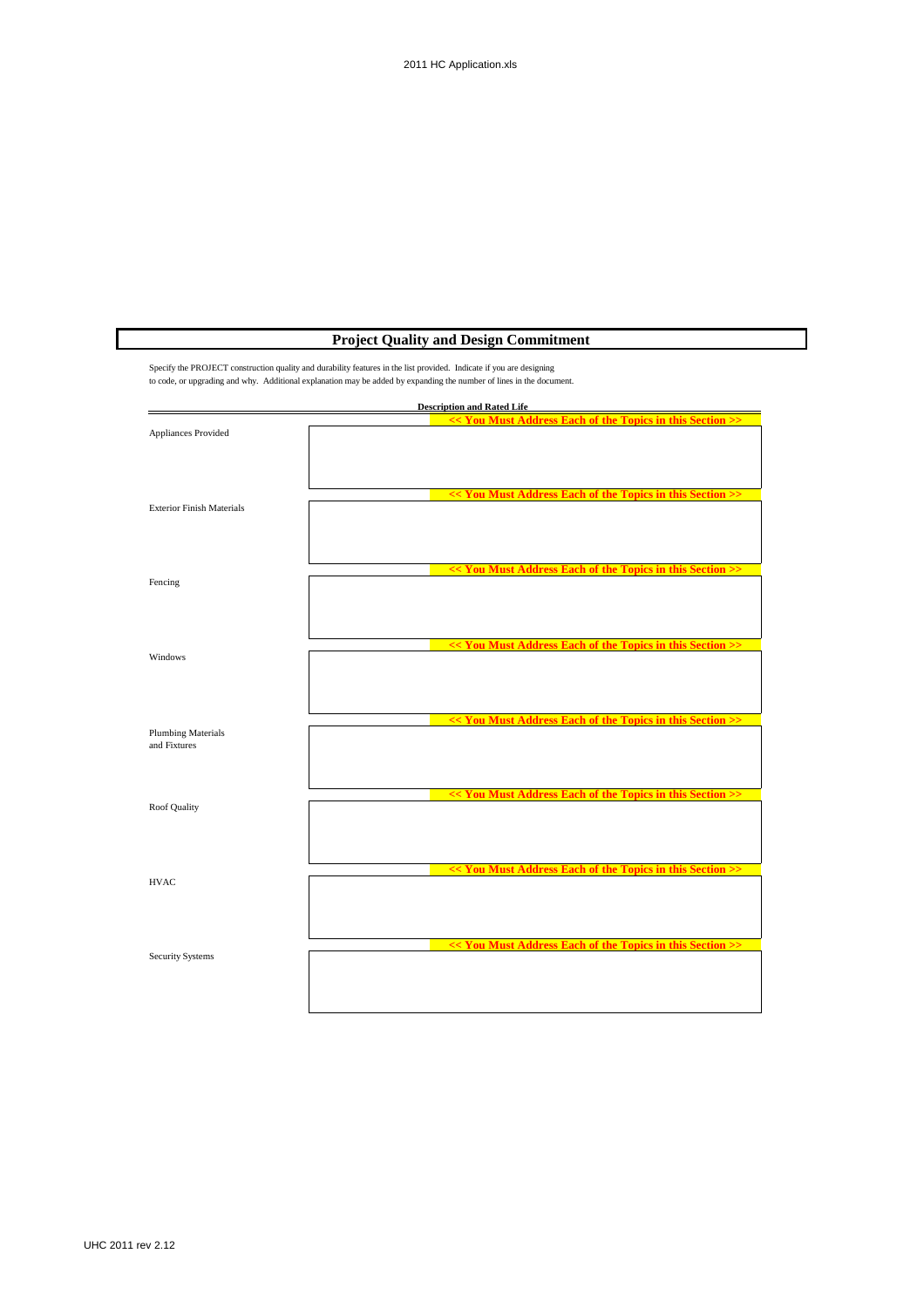# **Project Quality and Design Commitment**

Specify the PROJECT construction quality and durability features in the list provided. Indicate if you are designing to code, or upgrading and why. Additional explanation may be added by expanding the number of lines in the document.

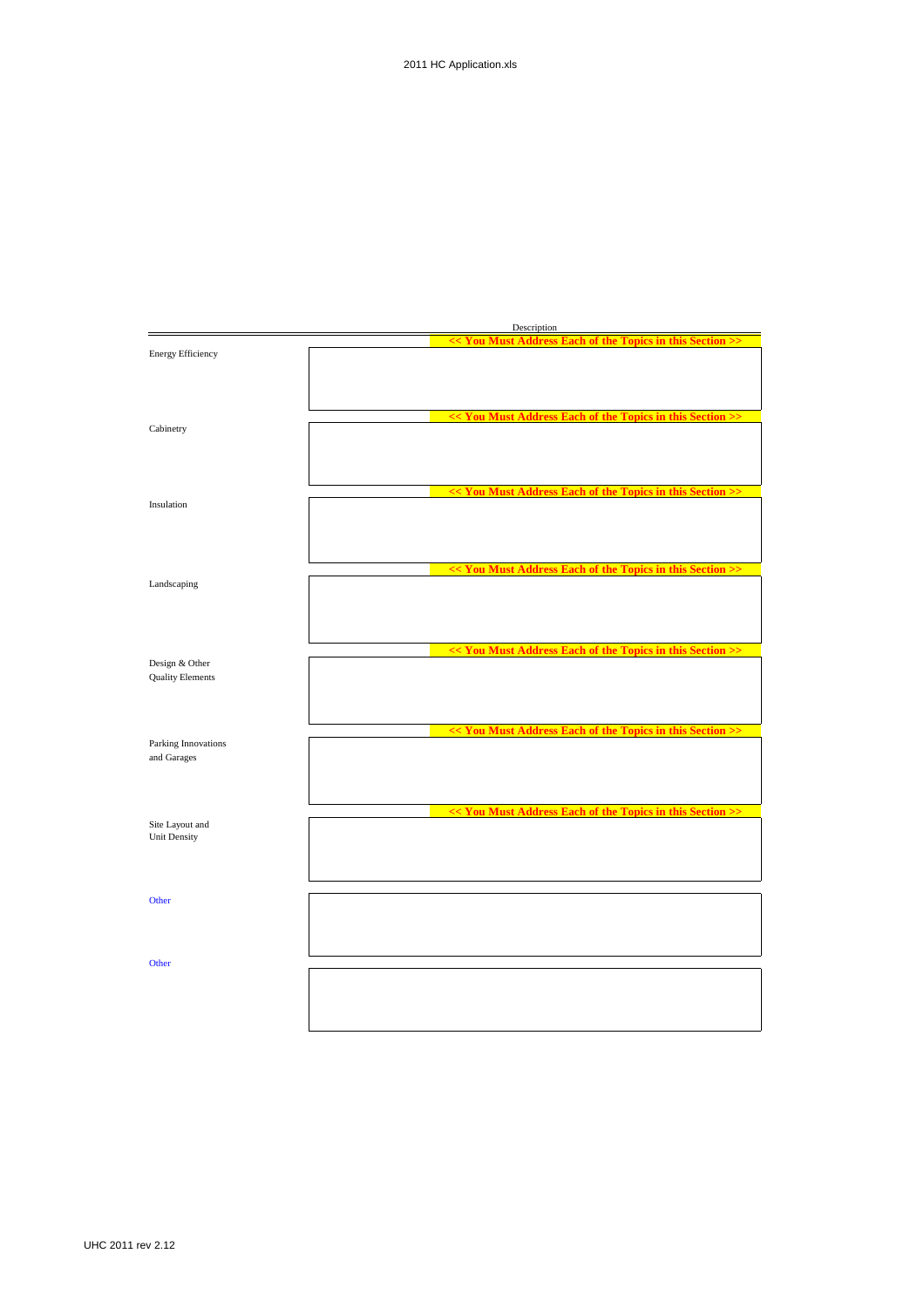|                                        | Description                                               |
|----------------------------------------|-----------------------------------------------------------|
| <b>Energy Efficiency</b>               | << You Must Address Each of the Topics in this Section >> |
|                                        |                                                           |
|                                        |                                                           |
| Cabinetry                              | << You Must Address Each of the Topics in this Section >> |
|                                        |                                                           |
|                                        | << You Must Address Each of the Topics in this Section >> |
| Insulation                             |                                                           |
|                                        |                                                           |
|                                        | << You Must Address Each of the Topics in this Section >> |
| Landscaping                            |                                                           |
|                                        |                                                           |
|                                        | << You Must Address Each of the Topics in this Section >> |
| Design & Other                         |                                                           |
| <b>Quality Elements</b>                |                                                           |
|                                        |                                                           |
|                                        | << You Must Address Each of the Topics in this Section >> |
| Parking Innovations<br>and Garages     |                                                           |
|                                        |                                                           |
|                                        | << You Must Address Each of the Topics in this Section >> |
| Site Layout and<br><b>Unit Density</b> |                                                           |
|                                        |                                                           |
|                                        |                                                           |
| Other                                  |                                                           |
|                                        |                                                           |
| Other                                  |                                                           |
|                                        |                                                           |
|                                        |                                                           |
|                                        |                                                           |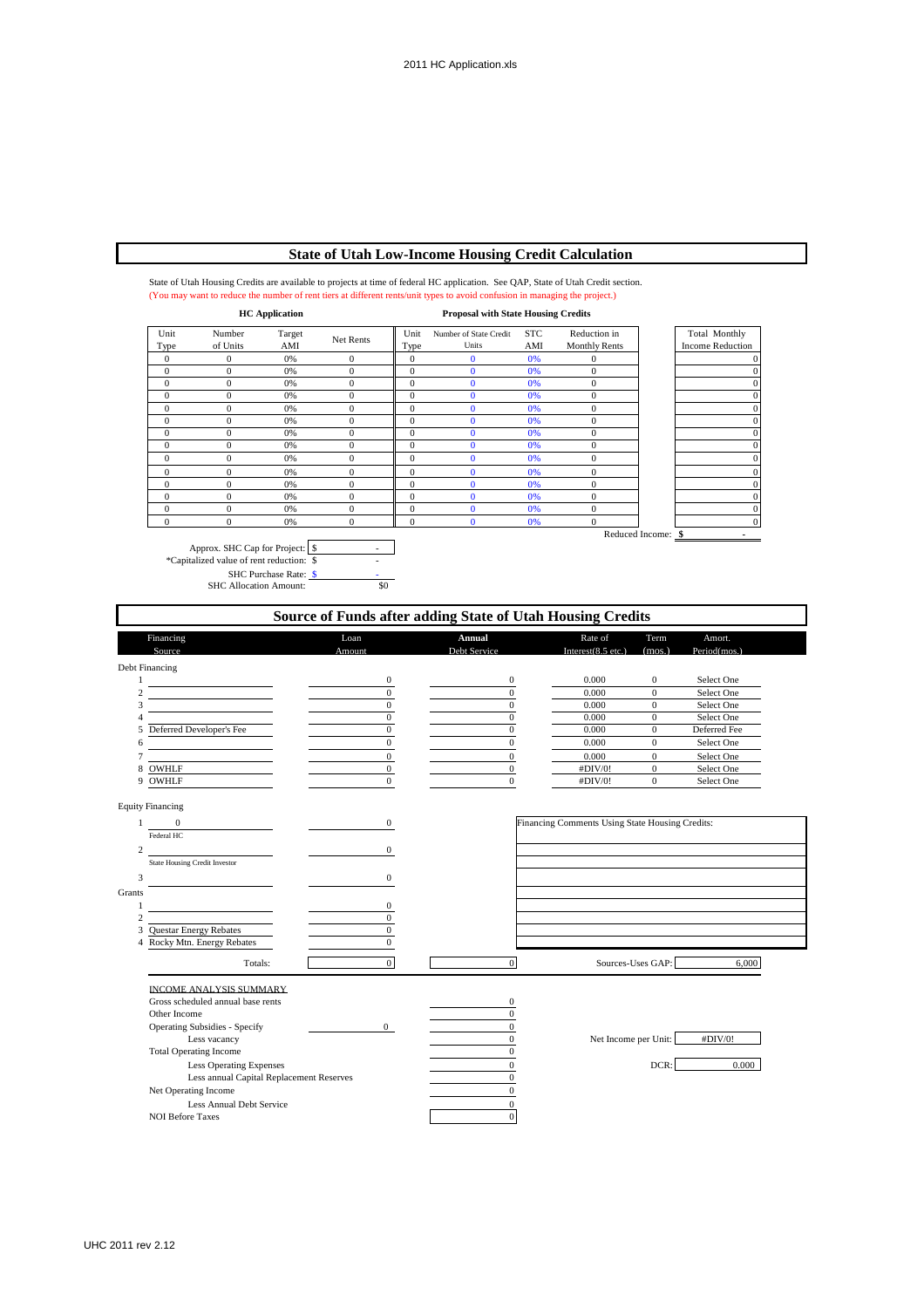# **State of Utah Low-Income Housing Credit Calculation**

State of Utah Housing Credits are available to projects at time of federal HC application. See QAP, State of Utah Credit section. (You may want to reduce the number of rent tiers at different rents/unit types to avoid confusion in managing the project.)

| <b>HC</b> Application |                    |               | <b>Proposal with State Housing Credits</b> |                |                                 |                   |                                      |                    |                                          |
|-----------------------|--------------------|---------------|--------------------------------------------|----------------|---------------------------------|-------------------|--------------------------------------|--------------------|------------------------------------------|
| Unit<br>Type          | Number<br>of Units | Target<br>AMI | Net Rents                                  | Unit<br>Type   | Number of State Credit<br>Units | <b>STC</b><br>AMI | Reduction in<br><b>Monthly Rents</b> |                    | Total Monthly<br><b>Income Reduction</b> |
| $\mathbf{0}$          | 0                  | 0%            | $\mathbf{0}$                               | $\mathbf{0}$   | $\bf{0}$                        | 0%                | $\mathbf{0}$                         |                    |                                          |
| $\mathbf{0}$          | $\overline{0}$     | 0%            | $\mathbf{0}$                               | $\mathbf{0}$   | $\Omega$                        | 0%                | $\boldsymbol{0}$                     |                    |                                          |
| $\overline{0}$        | $\overline{0}$     | 0%            | $\mathbf{0}$                               | $\mathbf{0}$   | $\Omega$                        | 0%                | $\mathbf{0}$                         |                    |                                          |
| $\overline{0}$        | $\overline{0}$     | 0%            | $\mathbf{0}$                               | $\overline{0}$ |                                 | 0%                | $\mathbf{0}$                         |                    |                                          |
| $\mathbf{0}$          | $\overline{0}$     | 0%            | $\mathbf{0}$                               | $\mathbf{0}$   | $\overline{0}$                  | 0%                | $\mathbf{0}$                         |                    |                                          |
| $\mathbf{0}$          | $\overline{0}$     | 0%            | $\mathbf{0}$                               | $\mathbf{0}$   | $\overline{0}$                  | 0%                | $\mathbf{0}$                         |                    | $\Omega$                                 |
| $\mathbf{0}$          | $\overline{0}$     | 0%            | $\mathbf{0}$                               | $\mathbf{0}$   | $\Omega$                        | 0%                | $\mathbf{0}$                         |                    | $\Omega$                                 |
| $\overline{0}$        | $\theta$           | 0%            | $\Omega$                                   | $\overline{0}$ | $\Omega$                        | 0%                | $\mathbf{0}$                         |                    | $\Omega$                                 |
| $\mathbf{0}$          | $\theta$           | 0%            | $\Omega$                                   | $\overline{0}$ | $\Omega$                        | 0%                | $\mathbf{0}$                         |                    | $\Omega$                                 |
| $\theta$              | $\overline{0}$     | 0%            | $\Omega$                                   | $\mathbf{0}$   | Ő                               | 0%                | $\mathbf{0}$                         |                    | $\Omega$                                 |
| $\overline{0}$        | $\overline{0}$     | 0%            | $\Omega$                                   | $\mathbf{0}$   | Ő                               | 0%                | $\mathbf{0}$                         |                    | $\Omega$                                 |
| $\overline{0}$        | 0                  | 0%            | $\Omega$                                   | $\overline{0}$ |                                 | 0%                | $\mathbf{0}$                         |                    | $\Omega$                                 |
| $\theta$              | $\overline{0}$     | 0%            | $\Omega$                                   | $\overline{0}$ |                                 | 0%                | $\mathbf{0}$                         |                    | $\mathbf{0}$                             |
| $\Omega$              | 0                  | 0%            | $\Omega$                                   | $\overline{0}$ |                                 | 0%                | $\Omega$                             |                    | $\mathbf{0}$                             |
|                       |                    |               |                                            |                |                                 |                   |                                      | Reduced Income: \$ |                                          |

Approx. SHC Cap for Project: \$ \*Capitalized value of rent reduction:  $\sqrt{$}$ SHC Purchase Rate:  $\frac{\$}{\$9}$  - 5HC Allocation Amount:  $\frac{\$0}{\$0}$ 



Grants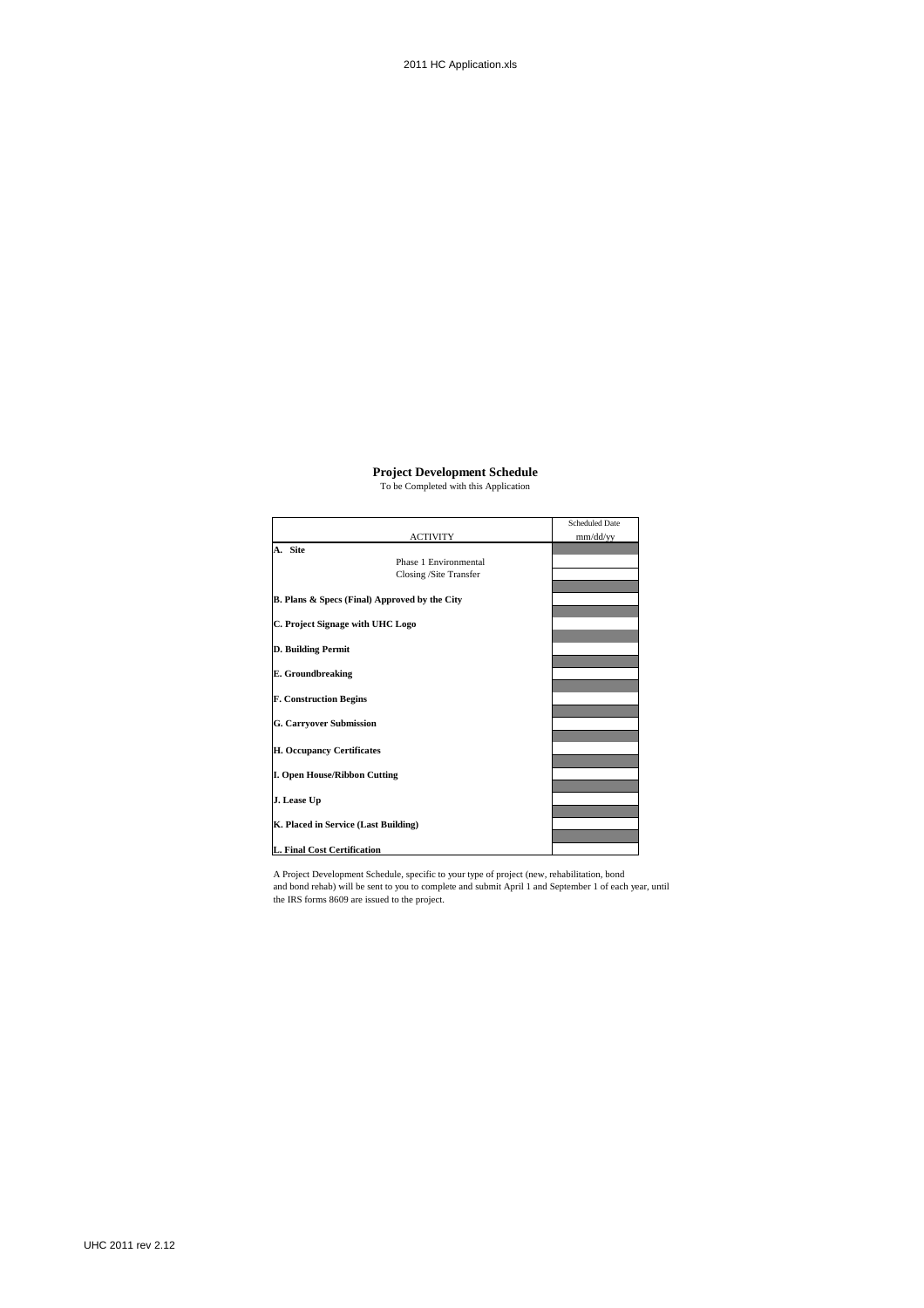# **Project Development Schedule**

|                                                          |                        | <b>Scheduled Date</b> |
|----------------------------------------------------------|------------------------|-----------------------|
|                                                          | <b>ACTIVITY</b>        | mm/dd/yy              |
| A. Site                                                  |                        |                       |
|                                                          | Phase 1 Environmental  |                       |
|                                                          | Closing /Site Transfer |                       |
| <b>B. Plans &amp; Specs (Final) Approved by the City</b> |                        |                       |
| C. Project Signage with UHC Logo                         |                        |                       |
| D. Building Permit                                       |                        |                       |
| E. Groundbreaking                                        |                        |                       |
| <b>F. Construction Begins</b>                            |                        |                       |
| <b>G. Carryover Submission</b>                           |                        |                       |
| H. Occupancy Certificates                                |                        |                       |
| <b>I. Open House/Ribbon Cutting</b>                      |                        |                       |
| J. Lease Up                                              |                        |                       |
| K. Placed in Service (Last Building)                     |                        |                       |
| L. Final Cost Certification                              |                        |                       |

A Project Development Schedule, specific to your type of project (new, rehabilitation, bond and bond rehab) will be sent to you to complete and submit April 1 and September 1 of each year, until the IRS forms 8609 are issued to the project.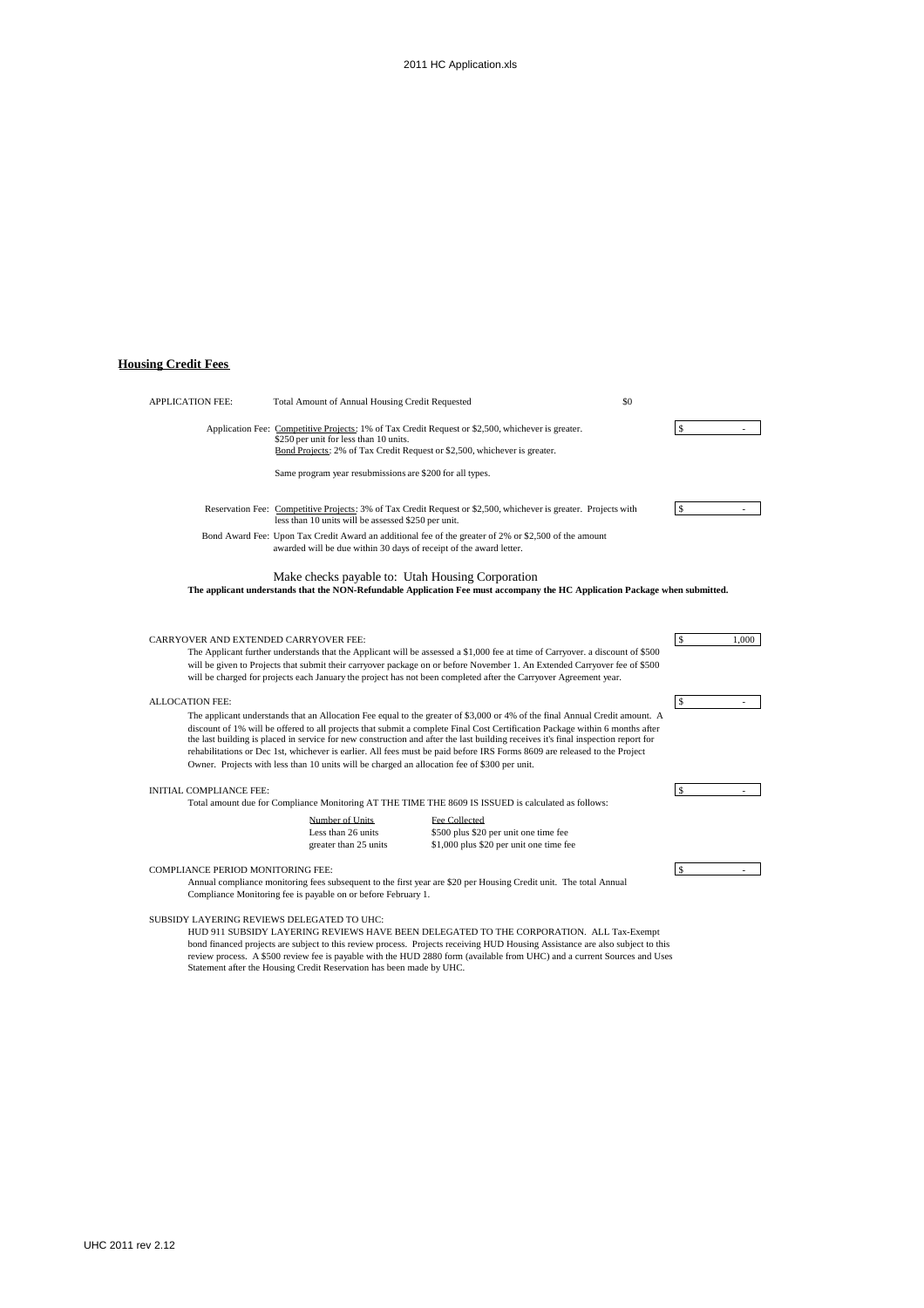# **Housing Credit Fees**

| <b>APPLICATION FEE:</b>                  | Total Amount of Annual Housing Credit Requested                                                                     |                                                                                                                                                                                                                                                                                                                                                                                                                                                                                                                               | \$0                 |
|------------------------------------------|---------------------------------------------------------------------------------------------------------------------|-------------------------------------------------------------------------------------------------------------------------------------------------------------------------------------------------------------------------------------------------------------------------------------------------------------------------------------------------------------------------------------------------------------------------------------------------------------------------------------------------------------------------------|---------------------|
|                                          | \$250 per unit for less than 10 units.<br>Bond Projects: 2% of Tax Credit Request or \$2,500, whichever is greater. | Application Fee: Competitive Projects: 1% of Tax Credit Request or \$2,500, whichever is greater.                                                                                                                                                                                                                                                                                                                                                                                                                             | $\mathbf{s}$        |
|                                          | Same program year resubmissions are \$200 for all types.                                                            |                                                                                                                                                                                                                                                                                                                                                                                                                                                                                                                               |                     |
|                                          | less than 10 units will be assessed \$250 per unit.                                                                 | Reservation Fee: Competitive Projects: 3% of Tax Credit Request or \$2,500, whichever is greater. Projects with                                                                                                                                                                                                                                                                                                                                                                                                               | <sup>\$</sup>       |
|                                          | awarded will be due within 30 days of receipt of the award letter.                                                  | Bond Award Fee: Upon Tax Credit Award an additional fee of the greater of 2% or \$2,500 of the amount                                                                                                                                                                                                                                                                                                                                                                                                                         |                     |
|                                          | Make checks payable to: Utah Housing Corporation                                                                    | The applicant understands that the NON-Refundable Application Fee must accompany the HC Application Package when submitted.                                                                                                                                                                                                                                                                                                                                                                                                   |                     |
| CARRYOVER AND EXTENDED CARRYOVER FEE:    |                                                                                                                     | The Applicant further understands that the Applicant will be assessed a \$1,000 fee at time of Carryover. a discount of \$500<br>will be given to Projects that submit their carryover package on or before November 1. An Extended Carryover fee of \$500<br>will be charged for projects each January the project has not been completed after the Carryover Agreement year.                                                                                                                                                | $\sqrt{5}$<br>1,000 |
| <b>ALLOCATION FEE:</b>                   |                                                                                                                     |                                                                                                                                                                                                                                                                                                                                                                                                                                                                                                                               | $\sqrt{5}$          |
|                                          | Owner. Projects with less than 10 units will be charged an allocation fee of \$300 per unit.                        | The applicant understands that an Allocation Fee equal to the greater of \$3,000 or 4% of the final Annual Credit amount. A<br>discount of 1% will be offered to all projects that submit a complete Final Cost Certification Package within 6 months after<br>the last building is placed in service for new construction and after the last building receives it's final inspection report for<br>rehabilitations or Dec 1st, whichever is earlier. All fees must be paid before IRS Forms 8609 are released to the Project |                     |
| <b>INITIAL COMPLIANCE FEE:</b>           |                                                                                                                     |                                                                                                                                                                                                                                                                                                                                                                                                                                                                                                                               | <sup>\$</sup>       |
|                                          |                                                                                                                     | Total amount due for Compliance Monitoring AT THE TIME THE 8609 IS ISSUED is calculated as follows:                                                                                                                                                                                                                                                                                                                                                                                                                           |                     |
|                                          | Number of Units<br>Less than 26 units<br>greater than 25 units                                                      | Fee Collected<br>\$500 plus \$20 per unit one time fee<br>\$1,000 plus \$20 per unit one time fee                                                                                                                                                                                                                                                                                                                                                                                                                             |                     |
| <b>COMPLIANCE PERIOD MONITORING FEE:</b> |                                                                                                                     | Annual compliance monitoring fees subsequent to the first year are \$20 per Housing Credit unit. The total Annual                                                                                                                                                                                                                                                                                                                                                                                                             | <sup>\$</sup>       |

\$20 per Housing Credit unit. The total Ann Compliance Monitoring fee is payable on or before February 1.

#### SUBSIDY LAYERING REVIEWS DELEGATED TO UHC:

HUD 911 SUBSIDY LAYERING REVIEWS HAVE BEEN DELEGATED TO THE CORPORATION. ALL Tax-Exempt bond financed projects are subject to this review process. Projects receiving HUD Housing Assistance are also subject to this review process. A \$500 review fee is payable with the HUD 2880 form (available from UHC) and a current Sources and Uses Statement after the Housing Credit Reservation has been made by UHC.